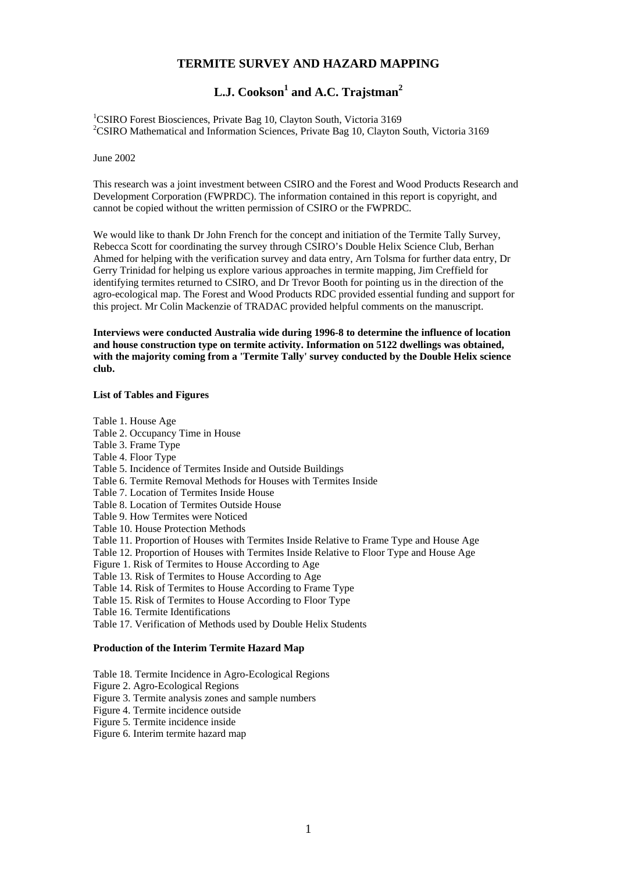# **TERMITE SURVEY AND HAZARD MAPPING**

# L.J. Cookson<sup>1</sup> and A.C. Trajstman<sup>2</sup>

<sup>1</sup>CSIRO Forest Biosciences, Private Bag 10, Clayton South, Victoria 3169<sup>2</sup>CSIBO Mathematical and Information Sciences, Private Bag 10, Clayton <sup>2</sup>CSIRO Mathematical and Information Sciences, Private Bag 10, Clayton South, Victoria 3169

June 2002

This research was a joint investment between CSIRO and the Forest and Wood Products Research and Development Corporation (FWPRDC). The information contained in this report is copyright, and cannot be copied without the written permission of CSIRO or the FWPRDC.

We would like to thank Dr John French for the concept and initiation of the Termite Tally Survey. Rebecca Scott for coordinating the survey through CSIRO's Double Helix Science Club, Berhan Ahmed for helping with the verification survey and data entry, Arn Tolsma for further data entry, Dr Gerry Trinidad for helping us explore various approaches in termite mapping, Jim Creffield for identifying termites returned to CSIRO, and Dr Trevor Booth for pointing us in the direction of the agro-ecological map. The Forest and Wood Products RDC provided essential funding and support for this project. Mr Colin Mackenzie of TRADAC provided helpful comments on the manuscript.

**Interviews were conducted Australia wide during 1996-8 to determine the influence of location and house construction type on termite activity. Information on 5122 dwellings was obtained, with the majority coming from a 'Termite Tally' survey conducted by the Double Helix science club.** 

#### **List of Tables and Figures**

Table 1. House Age Table 2. Occupancy Time in House Table 3. Frame Type Table 4. Floor Type Table 5. Incidence of Termites Inside and Outside Buildings Table 6. Termite Removal Methods for Houses with Termites Inside Table 7. Location of Termites Inside House Table 8. Location of Termites Outside House Table 9. How Termites were Noticed Table 10. House Protection Methods Table 11. Proportion of Houses with Termites Inside Relative to Frame Type and House Age Table 12. Proportion of Houses with Termites Inside Relative to Floor Type and House Age Figure 1. Risk of Termites to House According to Age Table 13. Risk of Termites to House According to Age Table 14. Risk of Termites to House According to Frame Type Table 15. Risk of Termites to House According to Floor Type Table 16. Termite Identifications Table 17. Verification of Methods used by Double Helix Students

**Production of the Interim Termite Hazard Map**

Table 18. Termite Incidence in Agro-Ecological Regions

Figure 2. Agro-Ecological Regions

Figure 3. Termite analysis zones and sample numbers

Figure 4. Termite incidence outside

Figure 5. Termite incidence inside

Figure 6. Interim termite hazard map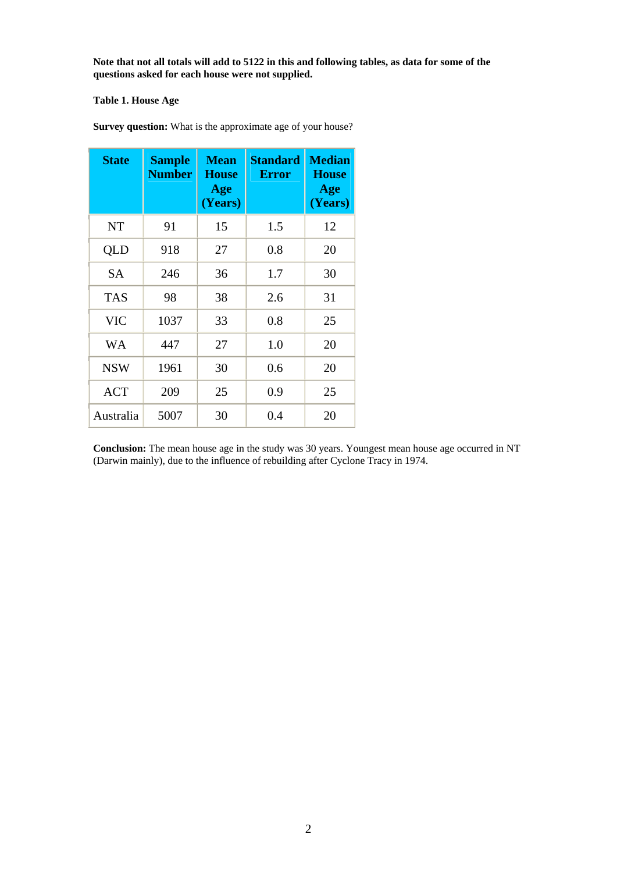**Note that not all totals will add to 5122 in this and following tables, as data for some of the questions asked for each house were not supplied.** 

## **Table 1. House Age**

| <b>State</b> | <b>Sample</b><br><b>Number</b> | <b>Mean</b><br><b>House</b><br>Age<br>(Years) | <b>Standard</b><br><b>Error</b> | <b>Median</b><br><b>House</b><br>Age<br>(Years) |
|--------------|--------------------------------|-----------------------------------------------|---------------------------------|-------------------------------------------------|
| <b>NT</b>    | 91                             | 15                                            | 1.5                             | 12                                              |
| QLD          | 918                            | 27                                            | $0.8\,$                         | 20                                              |
| <b>SA</b>    | 246                            | 36                                            | 1.7                             | 30                                              |
| <b>TAS</b>   | 98                             | 38                                            | 2.6                             | 31                                              |
| <b>VIC</b>   | 1037                           | 33                                            | 0.8                             | 25                                              |
| WA           | 447                            | 27                                            | 1.0                             | 20                                              |
| <b>NSW</b>   | 1961                           | 30                                            | 0.6                             | 20                                              |
| <b>ACT</b>   | 209                            | 25                                            | 0.9                             | 25                                              |
| Australia    | 5007                           | 30                                            | 0.4                             | 20                                              |

**Survey question:** What is the approximate age of your house?

**Conclusion:** The mean house age in the study was 30 years. Youngest mean house age occurred in NT (Darwin mainly), due to the influence of rebuilding after Cyclone Tracy in 1974.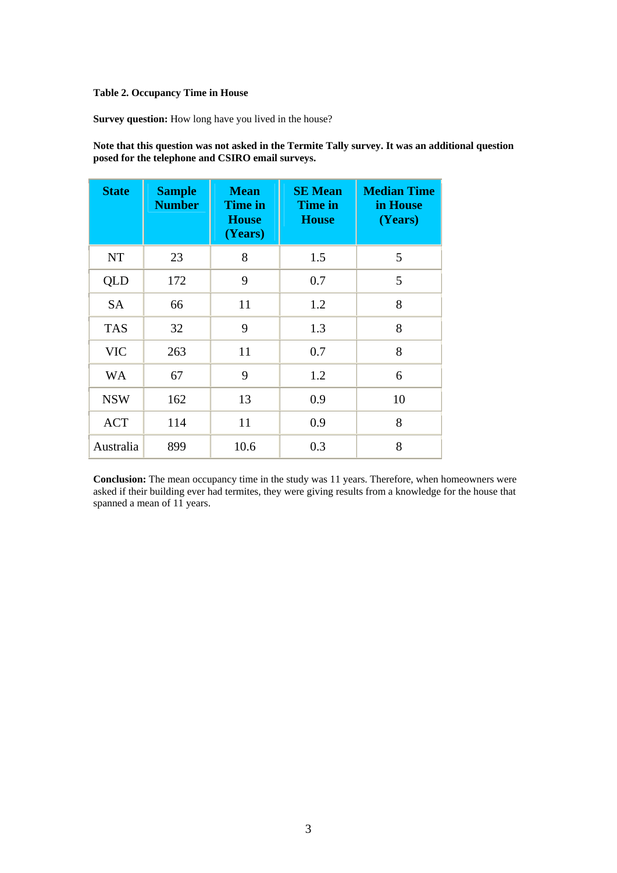#### **Table 2. Occupancy Time in House**

**Survey question:** How long have you lived in the house?

**Note that this question was not asked in the Termite Tally survey. It was an additional question posed for the telephone and CSIRO email surveys.**

| <b>State</b> | <b>Sample</b><br><b>Number</b> | <b>Mean</b><br><b>Time in</b><br><b>House</b><br>(Years) | <b>SE</b> Mean<br><b>Time in</b><br><b>House</b> | <b>Median Time</b><br>in House<br>(Years) |
|--------------|--------------------------------|----------------------------------------------------------|--------------------------------------------------|-------------------------------------------|
| NT           | 23                             | 8                                                        | 1.5                                              | 5                                         |
| QLD          | 172                            | 9                                                        | 0.7                                              | 5                                         |
| <b>SA</b>    | 66                             | 11                                                       | 1.2                                              | 8                                         |
| <b>TAS</b>   | 32                             | 9                                                        | 1.3                                              | 8                                         |
| <b>VIC</b>   | 263                            | 11                                                       | 0.7                                              | 8                                         |
| <b>WA</b>    | 67                             | 9                                                        | 1.2                                              | 6                                         |
| <b>NSW</b>   | 162                            | 13                                                       | 0.9                                              | 10                                        |
| <b>ACT</b>   | 114                            | 11                                                       | 0.9                                              | 8                                         |
| Australia    | 899                            | 10.6                                                     | 0.3                                              | 8                                         |

**Conclusion:** The mean occupancy time in the study was 11 years. Therefore, when homeowners were asked if their building ever had termites, they were giving results from a knowledge for the house that spanned a mean of 11 years.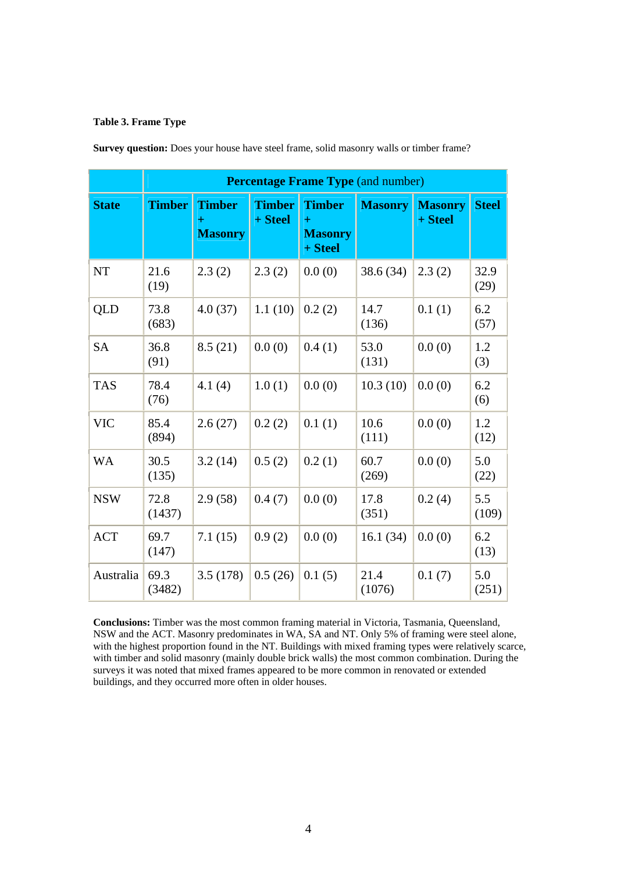## **Table 3. Frame Type**

|              | <b>Percentage Frame Type (and number)</b> |                                        |                          |                                                     |                |                           |              |
|--------------|-------------------------------------------|----------------------------------------|--------------------------|-----------------------------------------------------|----------------|---------------------------|--------------|
| <b>State</b> | <b>Timber</b>                             | <b>Timber</b><br>$+$<br><b>Masonry</b> | <b>Timber</b><br>+ Steel | <b>Timber</b><br>$\pm$<br><b>Masonry</b><br>+ Steel | <b>Masonry</b> | <b>Masonry</b><br>+ Steel | <b>Steel</b> |
| <b>NT</b>    | 21.6<br>(19)                              | 2.3(2)                                 | 2.3(2)                   | 0.0(0)                                              | 38.6 (34)      | 2.3(2)                    | 32.9<br>(29) |
| <b>QLD</b>   | 73.8<br>(683)                             | 4.0(37)                                | 1.1(10)                  | 0.2(2)                                              | 14.7<br>(136)  | 0.1(1)                    | 6.2<br>(57)  |
| <b>SA</b>    | 36.8<br>(91)                              | 8.5(21)                                | 0.0(0)                   | 0.4(1)                                              | 53.0<br>(131)  | 0.0(0)                    | 1.2<br>(3)   |
| <b>TAS</b>   | 78.4<br>(76)                              | 4.1(4)                                 | 1.0(1)                   | 0.0(0)                                              | 10.3(10)       | 0.0(0)                    | 6.2<br>(6)   |
| <b>VIC</b>   | 85.4<br>(894)                             | 2.6(27)                                | 0.2(2)                   | 0.1(1)                                              | 10.6<br>(111)  | 0.0(0)                    | 1.2<br>(12)  |
| <b>WA</b>    | 30.5<br>(135)                             | 3.2(14)                                | 0.5(2)                   | 0.2(1)                                              | 60.7<br>(269)  | 0.0(0)                    | 5.0<br>(22)  |
| <b>NSW</b>   | 72.8<br>(1437)                            | 2.9(58)                                | 0.4(7)                   | 0.0(0)                                              | 17.8<br>(351)  | 0.2(4)                    | 5.5<br>(109) |
| <b>ACT</b>   | 69.7<br>(147)                             | 7.1(15)                                | 0.9(2)                   | 0.0(0)                                              | 16.1(34)       | 0.0(0)                    | 6.2<br>(13)  |
| Australia    | 69.3<br>(3482)                            | 3.5(178)                               | 0.5(26)                  | 0.1(5)                                              | 21.4<br>(1076) | 0.1(7)                    | 5.0<br>(251) |

**Survey question:** Does your house have steel frame, solid masonry walls or timber frame?

**Conclusions:** Timber was the most common framing material in Victoria, Tasmania, Queensland, NSW and the ACT. Masonry predominates in WA, SA and NT. Only 5% of framing were steel alone, with the highest proportion found in the NT. Buildings with mixed framing types were relatively scarce, with timber and solid masonry (mainly double brick walls) the most common combination. During the surveys it was noted that mixed frames appeared to be more common in renovated or extended buildings, and they occurred more often in older houses.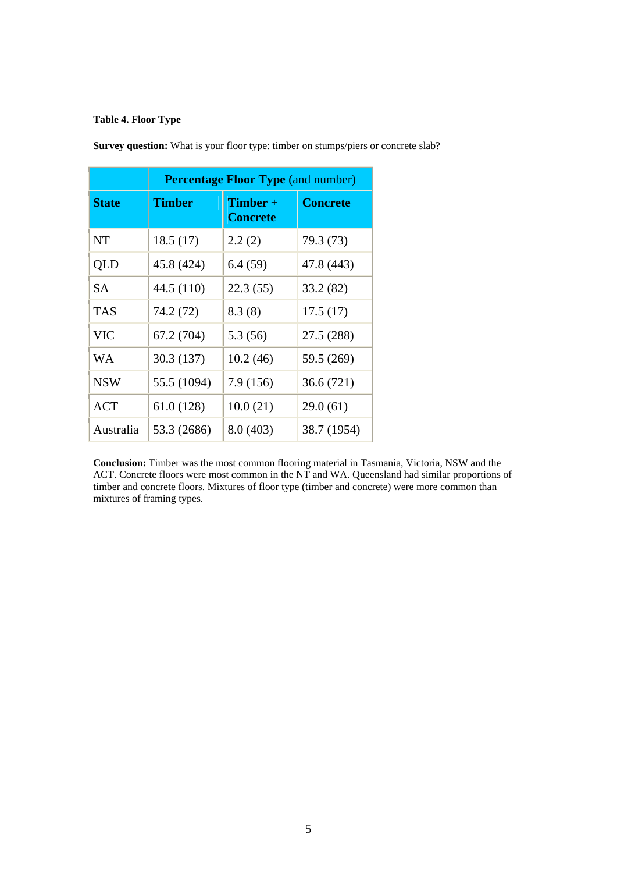## **Table 4. Floor Type**

|              | <b>Percentage Floor Type (and number)</b> |                               |                 |  |  |
|--------------|-------------------------------------------|-------------------------------|-----------------|--|--|
| <b>State</b> | <b>Timber</b>                             | $Timber +$<br><b>Concrete</b> | <b>Concrete</b> |  |  |
| <b>NT</b>    | 18.5(17)                                  | 2.2(2)                        | 79.3 (73)       |  |  |
| QLD          | 45.8 (424)                                | 6.4(59)                       | 47.8 (443)      |  |  |
| <b>SA</b>    | 44.5 (110)                                | 22.3(55)                      | 33.2 (82)       |  |  |
| <b>TAS</b>   | 74.2 (72)                                 | 8.3(8)                        | 17.5(17)        |  |  |
| <b>VIC</b>   | 67.2 (704)                                | 5.3 (56)                      | 27.5 (288)      |  |  |
| <b>WA</b>    | 30.3 (137)                                | 10.2(46)                      | 59.5 (269)      |  |  |
| <b>NSW</b>   | 55.5 (1094)                               | 7.9(156)                      | 36.6(721)       |  |  |
| <b>ACT</b>   | 61.0(128)                                 | 10.0(21)                      | 29.0(61)        |  |  |
| Australia    | 53.3 (2686)                               | 8.0 (403)                     | 38.7 (1954)     |  |  |

**Survey question:** What is your floor type: timber on stumps/piers or concrete slab?

**Conclusion:** Timber was the most common flooring material in Tasmania, Victoria, NSW and the ACT. Concrete floors were most common in the NT and WA. Queensland had similar proportions of timber and concrete floors. Mixtures of floor type (timber and concrete) were more common than mixtures of framing types.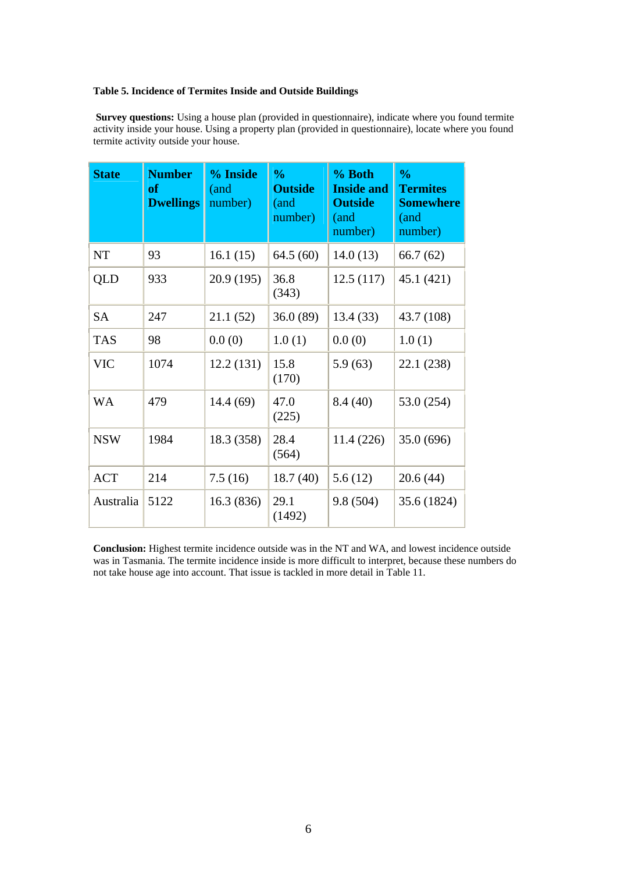## **Table 5. Incidence of Termites Inside and Outside Buildings**

**Survey questions:** Using a house plan (provided in questionnaire), indicate where you found termite activity inside your house. Using a property plan (provided in questionnaire), locate where you found termite activity outside your house.

| <b>State</b> | <b>Number</b><br><b>of</b><br><b>Dwellings</b> | % Inside<br>(and<br>number) | $\frac{0}{0}$<br><b>Outside</b><br>(and<br>number) | % Both<br><b>Inside and</b><br><b>Outside</b><br>(and<br>number) | $\frac{0}{0}$<br><b>Termites</b><br><b>Somewhere</b><br>(and<br>number) |
|--------------|------------------------------------------------|-----------------------------|----------------------------------------------------|------------------------------------------------------------------|-------------------------------------------------------------------------|
| NT           | 93                                             | 16.1(15)                    | 64.5(60)                                           | 14.0(13)                                                         | 66.7(62)                                                                |
| <b>QLD</b>   | 933                                            | 20.9(195)                   | 36.8<br>(343)                                      | 12.5(117)                                                        | 45.1 (421)                                                              |
| <b>SA</b>    | 247                                            | 21.1 (52)                   | 36.0(89)                                           | 13.4(33)                                                         | 43.7 (108)                                                              |
| <b>TAS</b>   | 98                                             | 0.0(0)                      | 1.0(1)                                             | 0.0(0)                                                           | 1.0(1)                                                                  |
| <b>VIC</b>   | 1074                                           | 12.2(131)                   | 15.8<br>(170)                                      | 5.9(63)                                                          | 22.1 (238)                                                              |
| <b>WA</b>    | 479                                            | 14.4(69)                    | 47.0<br>(225)                                      | 8.4(40)                                                          | 53.0 (254)                                                              |
| <b>NSW</b>   | 1984                                           | 18.3 (358)                  | 28.4<br>(564)                                      | 11.4 (226)                                                       | 35.0 (696)                                                              |
| <b>ACT</b>   | 214                                            | 7.5(16)                     | 18.7(40)                                           | 5.6(12)                                                          | 20.6(44)                                                                |
| Australia    | 5122                                           | 16.3(836)                   | 29.1<br>(1492)                                     | 9.8(504)                                                         | 35.6 (1824)                                                             |

**Conclusion:** Highest termite incidence outside was in the NT and WA, and lowest incidence outside was in Tasmania. The termite incidence inside is more difficult to interpret, because these numbers do not take house age into account. That issue is tackled in more detail in Table 11.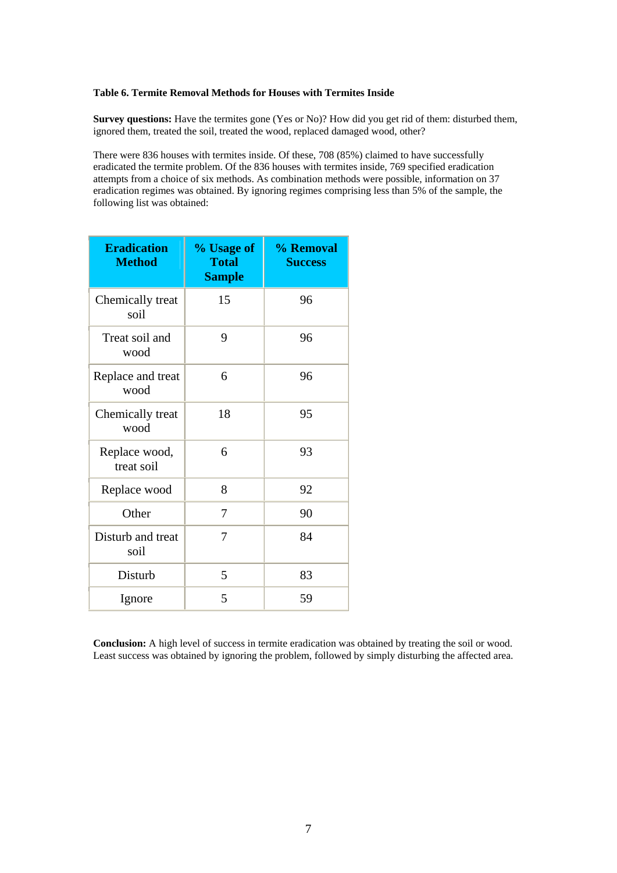#### **Table 6. Termite Removal Methods for Houses with Termites Inside**

**Survey questions:** Have the termites gone (Yes or No)? How did you get rid of them: disturbed them, ignored them, treated the soil, treated the wood, replaced damaged wood, other?

There were 836 houses with termites inside. Of these, 708 (85%) claimed to have successfully eradicated the termite problem. Of the 836 houses with termites inside, 769 specified eradication attempts from a choice of six methods. As combination methods were possible, information on 37 eradication regimes was obtained. By ignoring regimes comprising less than 5% of the sample, the following list was obtained:

| <b>Eradication</b><br><b>Method</b> | % Usage of<br><b>Total</b><br><b>Sample</b> | % Removal<br><b>Success</b> |
|-------------------------------------|---------------------------------------------|-----------------------------|
| Chemically treat<br>soil            | 15                                          | 96                          |
| Treat soil and<br>wood              | 9                                           | 96                          |
| Replace and treat<br>wood           | 6                                           | 96                          |
| Chemically treat<br>wood            | 18                                          | 95                          |
| Replace wood,<br>treat soil         | 6                                           | 93                          |
| Replace wood                        | 8                                           | 92                          |
| Other                               | 7                                           | 90                          |
| Disturb and treat<br>soil           | 7                                           | 84                          |
| Disturb                             | 5                                           | 83                          |
| Ignore                              | 5                                           | 59                          |

**Conclusion:** A high level of success in termite eradication was obtained by treating the soil or wood. Least success was obtained by ignoring the problem, followed by simply disturbing the affected area.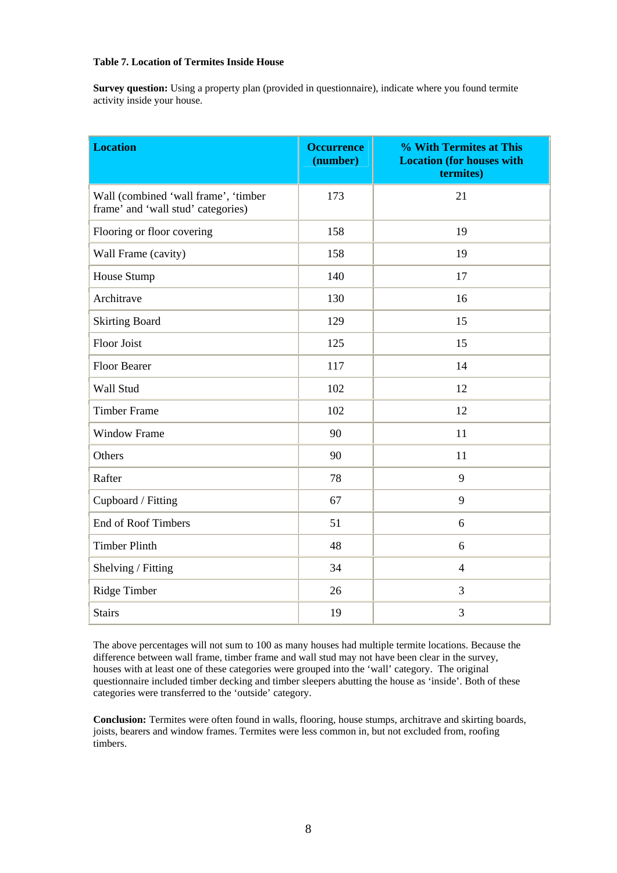#### **Table 7. Location of Termites Inside House**

**Survey question:** Using a property plan (provided in questionnaire), indicate where you found termite activity inside your house.

| <b>Location</b>                                                            | <b>Occurrence</b><br>(number) | % With Termites at This<br><b>Location (for houses with</b><br>termites) |
|----------------------------------------------------------------------------|-------------------------------|--------------------------------------------------------------------------|
| Wall (combined 'wall frame', 'timber<br>frame' and 'wall stud' categories) | 173                           | 21                                                                       |
| Flooring or floor covering                                                 | 158                           | 19                                                                       |
| Wall Frame (cavity)                                                        | 158                           | 19                                                                       |
| House Stump                                                                | 140                           | 17                                                                       |
| Architrave                                                                 | 130                           | 16                                                                       |
| <b>Skirting Board</b>                                                      | 129                           | 15                                                                       |
| <b>Floor Joist</b>                                                         | 125                           | 15                                                                       |
| <b>Floor Bearer</b>                                                        | 117                           | 14                                                                       |
| Wall Stud                                                                  | 102                           | 12                                                                       |
| <b>Timber Frame</b>                                                        | 102                           | 12                                                                       |
| <b>Window Frame</b>                                                        | 90                            | 11                                                                       |
| Others                                                                     | 90                            | 11                                                                       |
| Rafter                                                                     | 78                            | 9                                                                        |
| Cupboard / Fitting                                                         | 67                            | 9                                                                        |
| <b>End of Roof Timbers</b>                                                 | 51                            | 6                                                                        |
| <b>Timber Plinth</b>                                                       | 48                            | 6                                                                        |
| Shelving / Fitting                                                         | 34                            | $\overline{4}$                                                           |
| Ridge Timber                                                               | 26                            | 3                                                                        |
| <b>Stairs</b>                                                              | 19                            | 3                                                                        |

The above percentages will not sum to 100 as many houses had multiple termite locations. Because the difference between wall frame, timber frame and wall stud may not have been clear in the survey, houses with at least one of these categories were grouped into the 'wall' category. The original questionnaire included timber decking and timber sleepers abutting the house as 'inside'. Both of these categories were transferred to the 'outside' category.

**Conclusion:** Termites were often found in walls, flooring, house stumps, architrave and skirting boards, joists, bearers and window frames. Termites were less common in, but not excluded from, roofing timbers.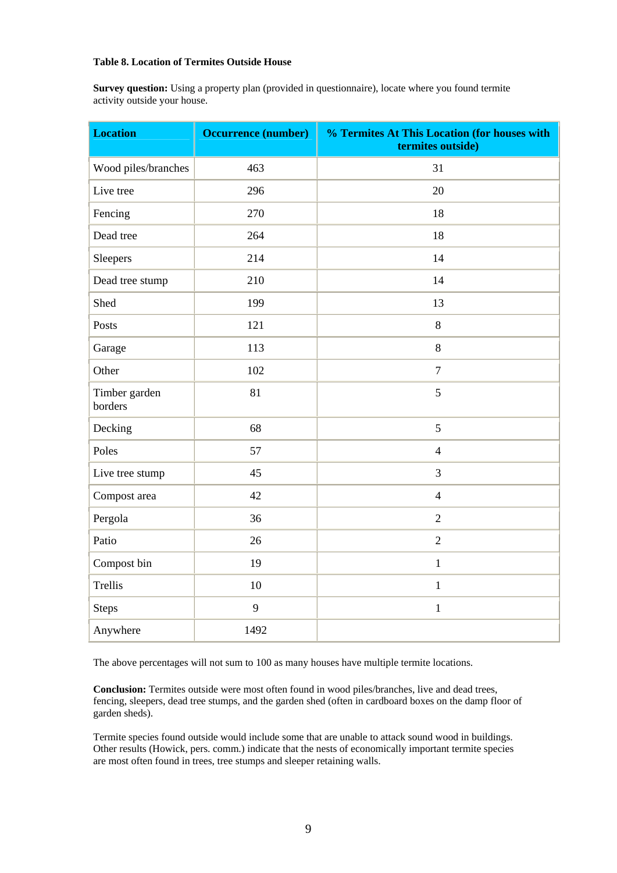### **Table 8. Location of Termites Outside House**

**Survey question:** Using a property plan (provided in questionnaire), locate where you found termite activity outside your house.

| <b>Location</b>          | <b>Occurrence (number)</b> | % Termites At This Location (for houses with<br>termites outside) |
|--------------------------|----------------------------|-------------------------------------------------------------------|
| Wood piles/branches      | 463                        | 31                                                                |
| Live tree                | 296                        | 20                                                                |
| Fencing                  | 270                        | 18                                                                |
| Dead tree                | 264                        | 18                                                                |
| Sleepers                 | 214                        | 14                                                                |
| Dead tree stump          | 210                        | 14                                                                |
| Shed                     | 199                        | 13                                                                |
| Posts                    | 121                        | $8\,$                                                             |
| Garage                   | 113                        | $8\,$                                                             |
| Other                    | 102                        | $\overline{7}$                                                    |
| Timber garden<br>borders | 81                         | 5                                                                 |
| Decking                  | 68                         | 5                                                                 |
| Poles                    | 57                         | $\overline{4}$                                                    |
| Live tree stump          | 45                         | $\overline{3}$                                                    |
| Compost area             | 42                         | $\overline{4}$                                                    |
| Pergola                  | 36                         | $\overline{2}$                                                    |
| Patio                    | 26                         | $\overline{2}$                                                    |
| Compost bin              | 19                         | $\mathbf{1}$                                                      |
| Trellis                  | 10                         | $\mathbf{1}$                                                      |
| <b>Steps</b>             | 9                          | $\,1\,$                                                           |
| Anywhere                 | 1492                       |                                                                   |

The above percentages will not sum to 100 as many houses have multiple termite locations.

**Conclusion:** Termites outside were most often found in wood piles/branches, live and dead trees, fencing, sleepers, dead tree stumps, and the garden shed (often in cardboard boxes on the damp floor of garden sheds).

Termite species found outside would include some that are unable to attack sound wood in buildings. Other results (Howick, pers. comm.) indicate that the nests of economically important termite species are most often found in trees, tree stumps and sleeper retaining walls.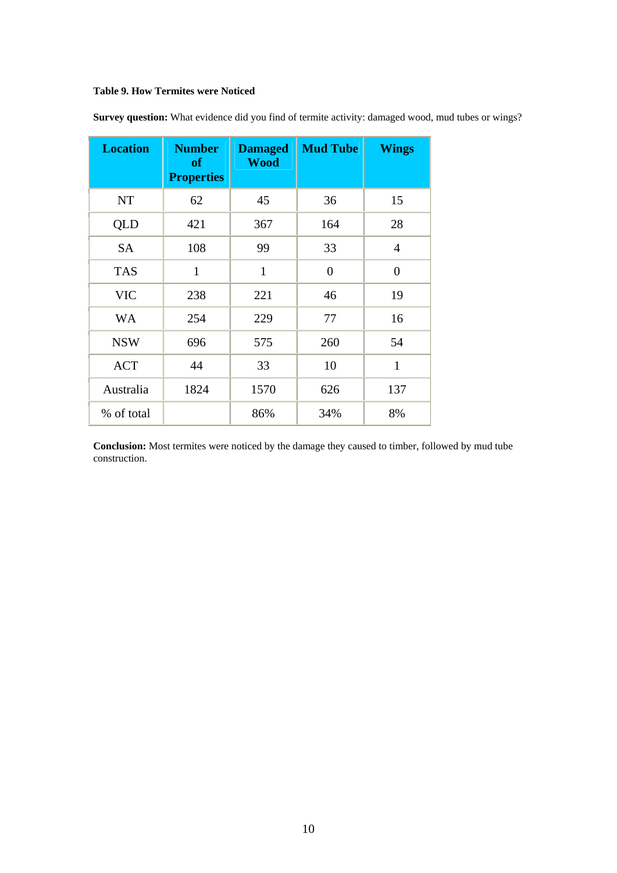# **Table 9. How Termites were Noticed**

| <b>Location</b> | <b>Number</b><br><b>of</b><br><b>Properties</b> | <b>Damaged</b><br><b>Wood</b> | <b>Mud Tube</b> | <b>Wings</b>   |
|-----------------|-------------------------------------------------|-------------------------------|-----------------|----------------|
| <b>NT</b>       | 62                                              | 45                            | 36              | 15             |
| QLD             | 421                                             | 367                           | 164             | 28             |
| <b>SA</b>       | 108                                             | 99                            | 33              | $\overline{4}$ |
| <b>TAS</b>      | $\mathbf{1}$                                    | $\mathbf{1}$                  | $\overline{0}$  | $\overline{0}$ |
| <b>VIC</b>      | 238                                             | 221                           | 46              | 19             |
| <b>WA</b>       | 254                                             | 229                           | 77              | 16             |
| <b>NSW</b>      | 696                                             | 575                           | 260             | 54             |
| <b>ACT</b>      | 44                                              | 33                            | 10              | $\mathbf{1}$   |
| Australia       | 1824                                            | 1570                          | 626             | 137            |
| % of total      |                                                 | 86%                           | 34%             | 8%             |

**Survey question:** What evidence did you find of termite activity: damaged wood, mud tubes or wings?

**Conclusion:** Most termites were noticed by the damage they caused to timber, followed by mud tube construction.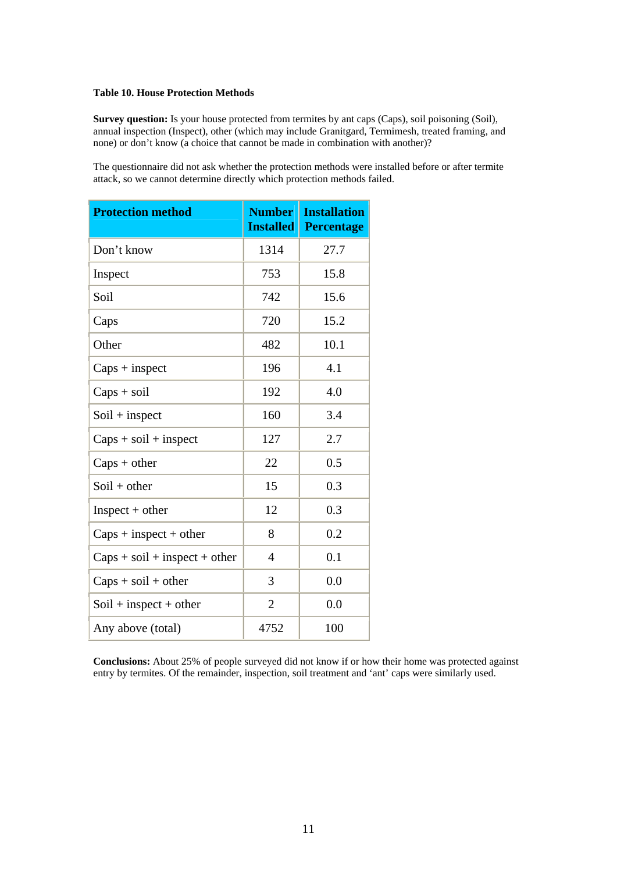#### **Table 10. House Protection Methods**

**Survey question:** Is your house protected from termites by ant caps (Caps), soil poisoning (Soil), annual inspection (Inspect), other (which may include Granitgard, Termimesh, treated framing, and none) or don't know (a choice that cannot be made in combination with another)?

The questionnaire did not ask whether the protection methods were installed before or after termite attack, so we cannot determine directly which protection methods failed.

| <b>Protection method</b>        | <b>Number</b><br><b>Installed</b> | <b>Installation</b><br><b>Percentage</b> |
|---------------------------------|-----------------------------------|------------------------------------------|
| Don't know                      | 1314                              | 27.7                                     |
| Inspect                         | 753                               | 15.8                                     |
| Soil                            | 742                               | 15.6                                     |
| Caps                            | 720                               | 15.2                                     |
| Other                           | 482                               | 10.1                                     |
| $Caps + inspect$                | 196                               | 4.1                                      |
| $Caps + soil$                   | 192                               | 4.0                                      |
| $Soil + inspect$                | 160                               | 3.4                                      |
| $Caps + soil + inspect$         | 127                               | 2.7                                      |
| $Caps + other$                  | 22                                | 0.5                                      |
| $Soil + other$                  | 15                                | 0.3                                      |
| $Inspect + other$               | 12                                | 0.3                                      |
| $Caps + inspect + other$        | 8                                 | 0.2                                      |
| $Caps + soil + inspect + other$ | 4                                 | 0.1                                      |
| $Caps + soil + other$           | 3                                 | 0.0                                      |
| $Soil + inspect + other$        | $\overline{2}$                    | 0.0                                      |
| Any above (total)               | 4752                              | 100                                      |

**Conclusions:** About 25% of people surveyed did not know if or how their home was protected against entry by termites. Of the remainder, inspection, soil treatment and 'ant' caps were similarly used.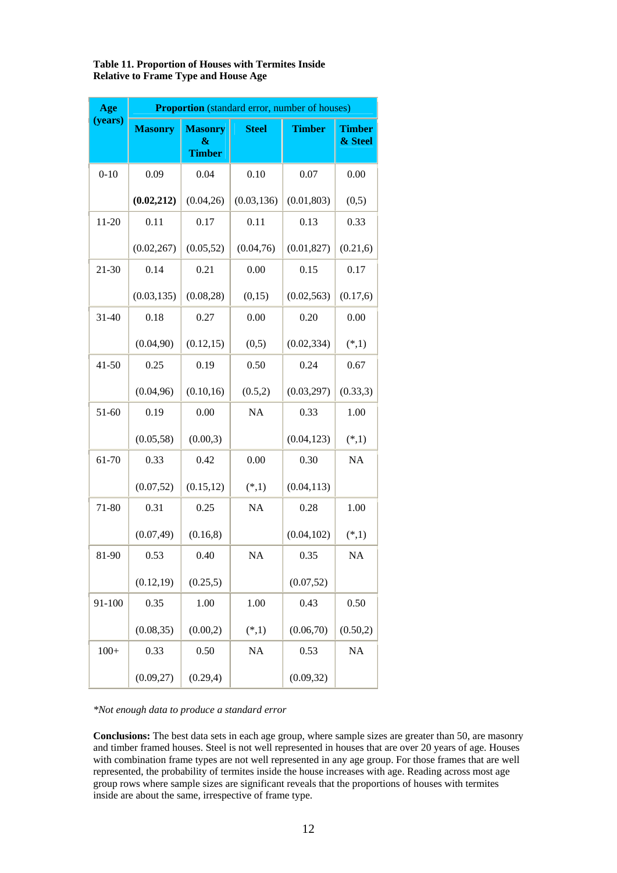| <b>Table 11. Proportion of Houses with Termites Inside</b> |  |
|------------------------------------------------------------|--|
| <b>Relative to Frame Type and House Age</b>                |  |

| Age       | <b>Proportion</b> (standard error, number of houses) |                                      |              |               |                          |  |  |
|-----------|------------------------------------------------------|--------------------------------------|--------------|---------------|--------------------------|--|--|
| (years)   | <b>Masonry</b>                                       | <b>Masonry</b><br>&<br><b>Timber</b> | <b>Steel</b> | <b>Timber</b> | <b>Timber</b><br>& Steel |  |  |
| $0 - 10$  | 0.09                                                 | 0.04                                 | 0.10         | 0.07          | 0.00                     |  |  |
|           | (0.02, 212)                                          | (0.04, 26)                           | (0.03, 136)  | (0.01, 803)   | (0,5)                    |  |  |
| $11 - 20$ | 0.11                                                 | 0.17                                 | 0.11         | 0.13          | 0.33                     |  |  |
|           | (0.02, 267)                                          | (0.05, 52)                           | (0.04, 76)   | (0.01, 827)   | (0.21, 6)                |  |  |
| 21-30     | 0.14                                                 | 0.21                                 | 0.00         | 0.15          | 0.17                     |  |  |
|           | (0.03, 135)                                          | (0.08, 28)                           | (0,15)       | (0.02, 563)   | (0.17, 6)                |  |  |
| $31 - 40$ | 0.18                                                 | 0.27                                 | 0.00         | 0.20          | 0.00                     |  |  |
|           | (0.04, 90)                                           | (0.12, 15)                           | (0,5)        | (0.02, 334)   | $(*,1)$                  |  |  |
| $41 - 50$ | 0.25                                                 | 0.19                                 | 0.50         | 0.24          | 0.67                     |  |  |
|           | (0.04, 96)                                           | (0.10, 16)                           | (0.5,2)      | (0.03, 297)   | (0.33, 3)                |  |  |
| 51-60     | 0.19                                                 | 0.00                                 | <b>NA</b>    | 0.33          | 1.00                     |  |  |
|           | (0.05, 58)                                           | (0.00, 3)                            |              | (0.04, 123)   | $(*,1)$                  |  |  |
| 61-70     | 0.33                                                 | 0.42                                 | 0.00         | 0.30          | <b>NA</b>                |  |  |
|           | (0.07, 52)                                           | (0.15, 12)                           | $(*,1)$      | (0.04, 113)   |                          |  |  |
| 71-80     | 0.31                                                 | 0.25                                 | <b>NA</b>    | 0.28          | 1.00                     |  |  |
|           | (0.07, 49)                                           | (0.16, 8)                            |              | (0.04, 102)   | $(*,1)$                  |  |  |
| 81-90     | 0.53                                                 | 0.40                                 | NA           | 0.35          | NA                       |  |  |
|           | (0.12, 19)                                           | (0.25, 5)                            |              | (0.07, 52)    |                          |  |  |
| 91-100    | 0.35                                                 | 1.00                                 | 1.00         | 0.43          | 0.50                     |  |  |
|           | (0.08, 35)                                           | (0.00, 2)                            | $(*,1)$      | (0.06, 70)    | (0.50,2)                 |  |  |
| $100+$    | 0.33                                                 | 0.50                                 | <b>NA</b>    | 0.53          | NA                       |  |  |
|           | (0.09, 27)                                           | (0.29, 4)                            |              | (0.09, 32)    |                          |  |  |

*\*Not enough data to produce a standard error*

**Conclusions:** The best data sets in each age group, where sample sizes are greater than 50, are masonry and timber framed houses. Steel is not well represented in houses that are over 20 years of age. Houses with combination frame types are not well represented in any age group. For those frames that are well represented, the probability of termites inside the house increases with age. Reading across most age group rows where sample sizes are significant reveals that the proportions of houses with termites inside are about the same, irrespective of frame type.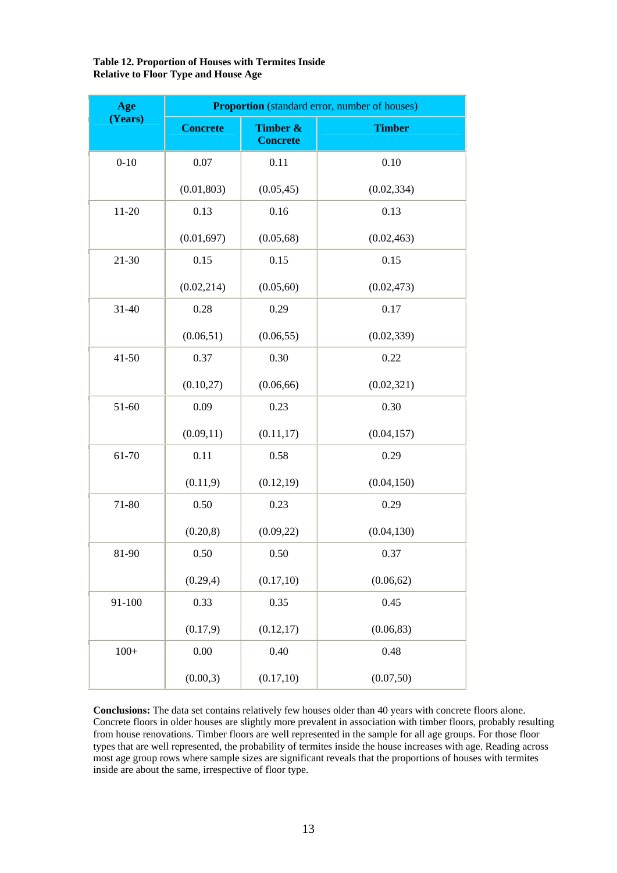## **Table 12. Proportion of Houses with Termites Inside Relative to Floor Type and House Age**

| Age       | <b>Proportion</b> (standard error, number of houses) |                             |               |  |  |  |  |
|-----------|------------------------------------------------------|-----------------------------|---------------|--|--|--|--|
| (Years)   | <b>Concrete</b>                                      | Timber &<br><b>Concrete</b> | <b>Timber</b> |  |  |  |  |
| $0 - 10$  | 0.07                                                 | 0.11                        | 0.10          |  |  |  |  |
|           | (0.01, 803)                                          | (0.05, 45)                  | (0.02, 334)   |  |  |  |  |
| $11 - 20$ | 0.13                                                 | 0.16                        | 0.13          |  |  |  |  |
|           | (0.01, 697)                                          | (0.05, 68)                  | (0.02, 463)   |  |  |  |  |
| 21-30     | 0.15                                                 | 0.15                        | 0.15          |  |  |  |  |
|           | (0.02, 214)                                          | (0.05, 60)                  | (0.02, 473)   |  |  |  |  |
| 31-40     | 0.28                                                 | 0.29                        | 0.17          |  |  |  |  |
|           | (0.06, 51)                                           | (0.06, 55)                  | (0.02, 339)   |  |  |  |  |
| $41 - 50$ | 0.37                                                 | 0.30                        | 0.22          |  |  |  |  |
|           | (0.10, 27)                                           | (0.06, 66)                  | (0.02, 321)   |  |  |  |  |
| 51-60     | 0.09                                                 | 0.23                        | 0.30          |  |  |  |  |
|           | (0.09, 11)                                           | (0.11, 17)                  | (0.04, 157)   |  |  |  |  |
| 61-70     | 0.11                                                 | 0.58                        | 0.29          |  |  |  |  |
|           | (0.11, 9)                                            | (0.12, 19)                  | (0.04, 150)   |  |  |  |  |
| 71-80     | 0.50                                                 | 0.23                        | 0.29          |  |  |  |  |
|           | (0.20, 8)                                            | (0.09, 22)                  | (0.04, 130)   |  |  |  |  |
| 81-90     | 0.50                                                 | 0.50                        | 0.37          |  |  |  |  |
|           | (0.29,4)                                             | (0.17, 10)                  | (0.06, 62)    |  |  |  |  |
| 91-100    | 0.33                                                 | 0.35                        | 0.45          |  |  |  |  |
|           | (0.17, 9)                                            | (0.12, 17)                  | (0.06, 83)    |  |  |  |  |
| $100+$    | 0.00                                                 | 0.40                        | 0.48          |  |  |  |  |
|           | (0.00, 3)                                            | (0.17, 10)                  | (0.07, 50)    |  |  |  |  |

**Conclusions:** The data set contains relatively few houses older than 40 years with concrete floors alone. Concrete floors in older houses are slightly more prevalent in association with timber floors, probably resulting from house renovations. Timber floors are well represented in the sample for all age groups. For those floor types that are well represented, the probability of termites inside the house increases with age. Reading across most age group rows where sample sizes are significant reveals that the proportions of houses with termites inside are about the same, irrespective of floor type.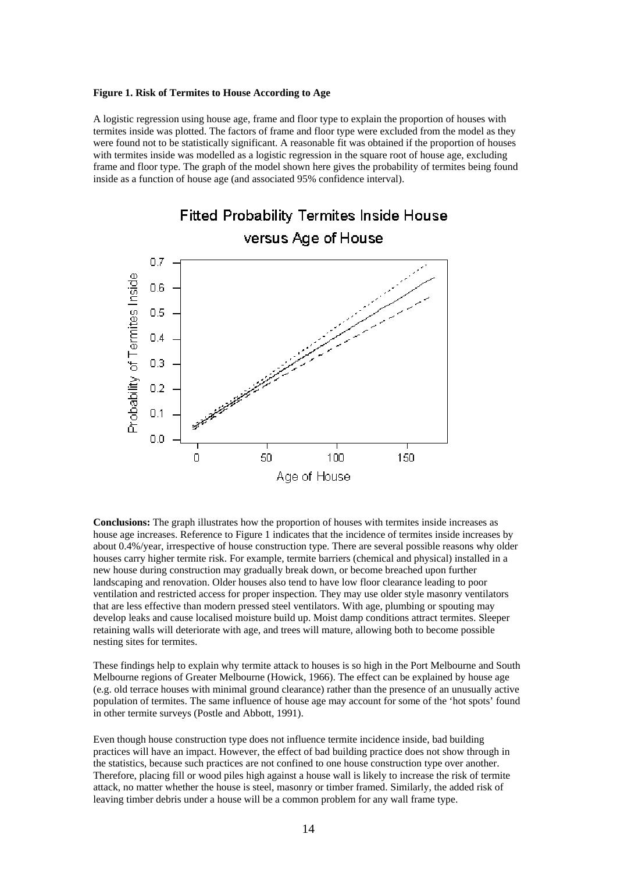#### **Figure 1. Risk of Termites to House According to Age**

A logistic regression using house age, frame and floor type to explain the proportion of houses with termites inside was plotted. The factors of frame and floor type were excluded from the model as they were found not to be statistically significant. A reasonable fit was obtained if the proportion of houses with termites inside was modelled as a logistic regression in the square root of house age, excluding frame and floor type. The graph of the model shown here gives the probability of termites being found inside as a function of house age (and associated 95% confidence interval).



**Conclusions:** The graph illustrates how the proportion of houses with termites inside increases as house age increases. Reference to Figure 1 indicates that the incidence of termites inside increases by about 0.4%/year, irrespective of house construction type. There are several possible reasons why older houses carry higher termite risk. For example, termite barriers (chemical and physical) installed in a new house during construction may gradually break down, or become breached upon further landscaping and renovation. Older houses also tend to have low floor clearance leading to poor ventilation and restricted access for proper inspection. They may use older style masonry ventilators that are less effective than modern pressed steel ventilators. With age, plumbing or spouting may develop leaks and cause localised moisture build up. Moist damp conditions attract termites. Sleeper retaining walls will deteriorate with age, and trees will mature, allowing both to become possible nesting sites for termites.

These findings help to explain why termite attack to houses is so high in the Port Melbourne and South Melbourne regions of Greater Melbourne (Howick, 1966). The effect can be explained by house age (e.g. old terrace houses with minimal ground clearance) rather than the presence of an unusually active population of termites. The same influence of house age may account for some of the 'hot spots' found in other termite surveys (Postle and Abbott, 1991).

Even though house construction type does not influence termite incidence inside, bad building practices will have an impact. However, the effect of bad building practice does not show through in the statistics, because such practices are not confined to one house construction type over another. Therefore, placing fill or wood piles high against a house wall is likely to increase the risk of termite attack, no matter whether the house is steel, masonry or timber framed. Similarly, the added risk of leaving timber debris under a house will be a common problem for any wall frame type.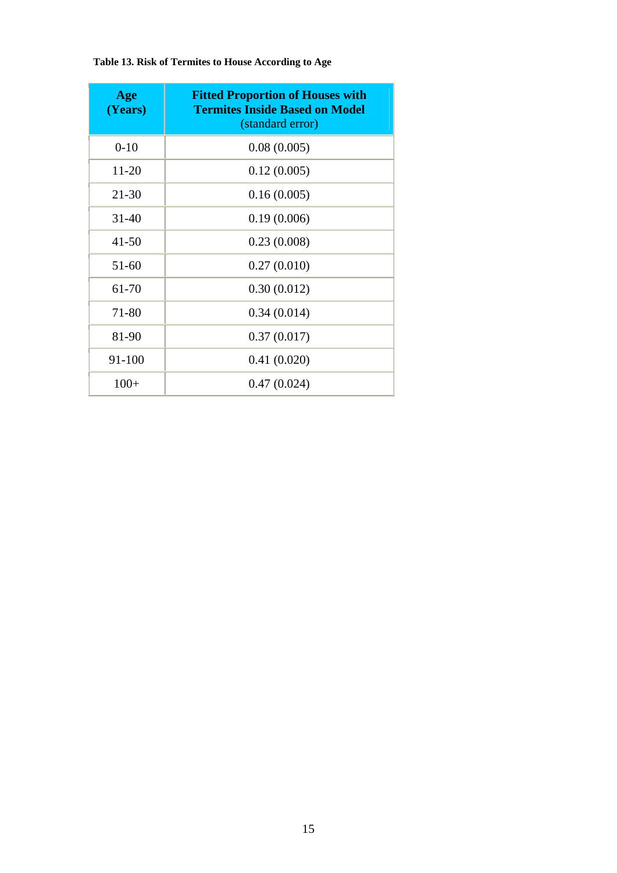| Age<br>(Years) | <b>Fitted Proportion of Houses with</b><br><b>Termites Inside Based on Model</b><br>(standard error) |
|----------------|------------------------------------------------------------------------------------------------------|
| $0-10$         | 0.08(0.005)                                                                                          |
| 11-20          | 0.12(0.005)                                                                                          |
| $21 - 30$      | 0.16(0.005)                                                                                          |
| $31 - 40$      | 0.19(0.006)                                                                                          |
| $41 - 50$      | 0.23(0.008)                                                                                          |
| $51 - 60$      | 0.27(0.010)                                                                                          |
| 61-70          | 0.30(0.012)                                                                                          |
| 71-80          | 0.34(0.014)                                                                                          |
| 81-90          | 0.37(0.017)                                                                                          |
| 91-100         | 0.41(0.020)                                                                                          |
| $100+$         | 0.47(0.024)                                                                                          |

**Table 13. Risk of Termites to House According to Age**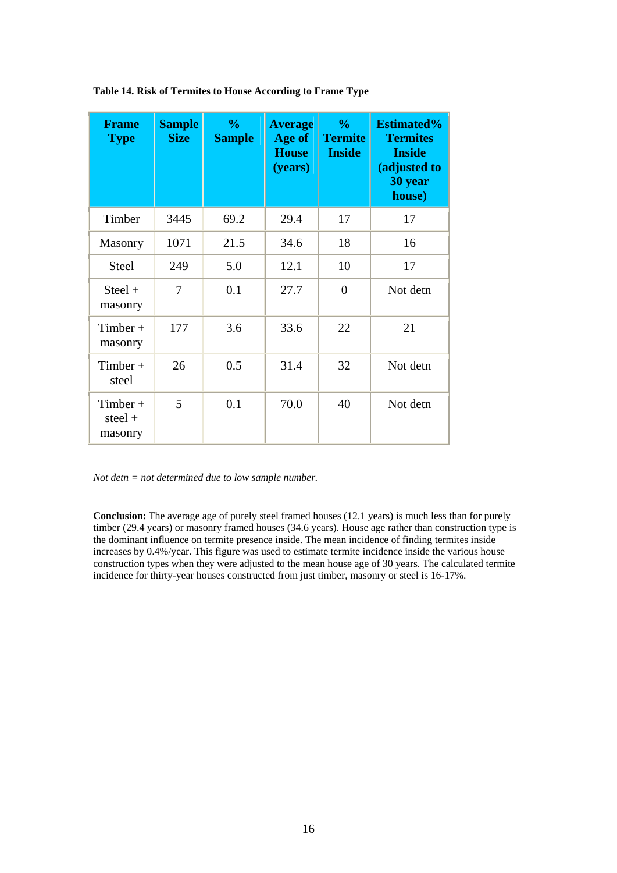| <b>Frame</b><br><b>Type</b>        | <b>Sample</b><br><b>Size</b> | $\frac{0}{0}$<br><b>Sample</b> | <b>Average</b><br>Age of<br><b>House</b><br>(years) | $\frac{0}{0}$<br><b>Termite</b><br><b>Inside</b> | <b>Estimated%</b><br><b>Termites</b><br><b>Inside</b><br>(adjusted to<br>30 year<br>house) |
|------------------------------------|------------------------------|--------------------------------|-----------------------------------------------------|--------------------------------------------------|--------------------------------------------------------------------------------------------|
| Timber                             | 3445                         | 69.2                           | 29.4                                                | 17                                               | 17                                                                                         |
| <b>Masonry</b>                     | 1071                         | 21.5                           | 34.6                                                | 18                                               | 16                                                                                         |
| <b>Steel</b>                       | 249                          | 5.0                            | 12.1                                                | 10                                               | 17                                                                                         |
| $Steel +$<br>masonry               | 7                            | 0.1                            | 27.7                                                | $\overline{0}$                                   | Not detn                                                                                   |
| $Timber +$<br>masonry              | 177                          | 3.6                            | 33.6                                                | 22                                               | 21                                                                                         |
| $Timber +$<br>steel                | 26                           | 0.5                            | 31.4                                                | 32                                               | Not detn                                                                                   |
| $Timber +$<br>steel $+$<br>masonry | 5                            | 0.1                            | 70.0                                                | 40                                               | Not detn                                                                                   |

**Table 14. Risk of Termites to House According to Frame Type**

*Not detn = not determined due to low sample number.*

**Conclusion:** The average age of purely steel framed houses (12.1 years) is much less than for purely timber (29.4 years) or masonry framed houses (34.6 years). House age rather than construction type is the dominant influence on termite presence inside. The mean incidence of finding termites inside increases by 0.4%/year. This figure was used to estimate termite incidence inside the various house construction types when they were adjusted to the mean house age of 30 years. The calculated termite incidence for thirty-year houses constructed from just timber, masonry or steel is 16-17%.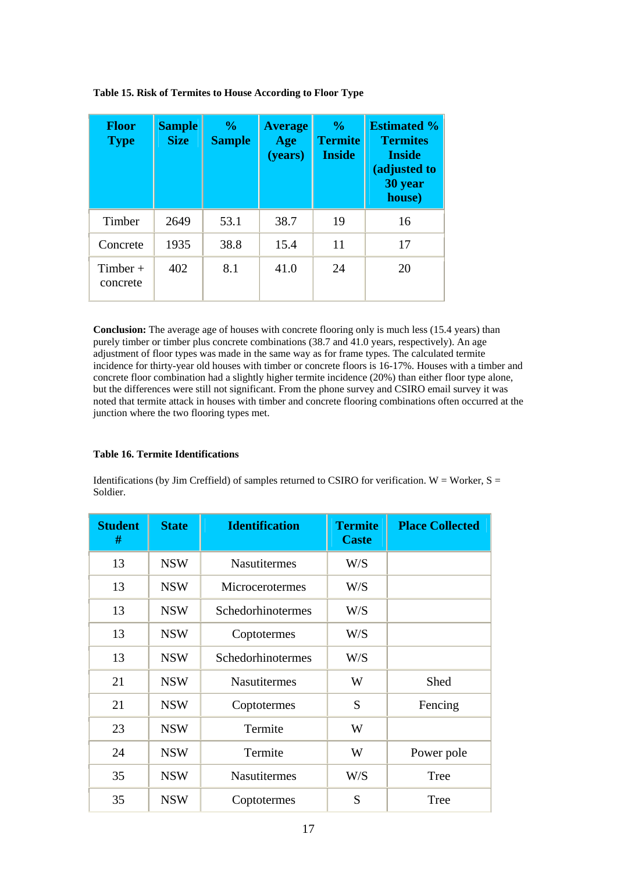| <b>Floor</b><br><b>Type</b> | <b>Sample</b><br><b>Size</b> | $\frac{6}{10}$<br><b>Sample</b> | <b>Average</b><br>Age<br>(years) | $\frac{0}{0}$<br><b>Termite</b><br><b>Inside</b> | <b>Estimated %</b><br><b>Termites</b><br><b>Inside</b><br>(adjusted to<br>30 year<br>house) |
|-----------------------------|------------------------------|---------------------------------|----------------------------------|--------------------------------------------------|---------------------------------------------------------------------------------------------|
| Timber                      | 2649                         | 53.1                            | 38.7                             | 19                                               | 16                                                                                          |
| Concrete                    | 1935                         | 38.8                            | 15.4                             | 11                                               | 17                                                                                          |
| $Timber +$<br>concrete      | 402                          | 8.1                             | 41.0                             | 24                                               | 20                                                                                          |

**Table 15. Risk of Termites to House According to Floor Type**

Conclusion: The average age of houses with concrete flooring only is much less (15.4 years) than purely timber or timber plus concrete combinations (38.7 and 41.0 years, respectively). An age adjustment of floor types was made in the same way as for frame types. The calculated termite incidence for thirty-year old houses with timber or concrete floors is 16-17%. Houses with a timber and concrete floor combination had a slightly higher termite incidence (20%) than either floor type alone, but the differences were still not significant. From the phone survey and CSIRO email survey it was noted that termite attack in houses with timber and concrete flooring combinations often occurred at the junction where the two flooring types met.

## **Table 16. Termite Identifications**

Identifications (by Jim Creffield) of samples returned to CSIRO for verification. W = Worker,  $S =$ Soldier.

| <b>Student</b><br># | <b>State</b> | <b>Identification</b> | <b>Termite</b><br><b>Caste</b> | <b>Place Collected</b> |
|---------------------|--------------|-----------------------|--------------------------------|------------------------|
| 13                  | <b>NSW</b>   | <b>Nasutitermes</b>   | W/S                            |                        |
| 13                  | <b>NSW</b>   | Microcerotermes       | W/S                            |                        |
| 13                  | <b>NSW</b>   | Schedorhinotermes     | W/S                            |                        |
| 13                  | <b>NSW</b>   | Coptotermes           | W/S                            |                        |
| 13                  | <b>NSW</b>   | Schedorhinotermes     | W/S                            |                        |
| 21                  | <b>NSW</b>   | <b>Nasutitermes</b>   | W                              | Shed                   |
| 21                  | <b>NSW</b>   | Coptotermes           | S                              | Fencing                |
| 23                  | <b>NSW</b>   | Termite               | W                              |                        |
| 24                  | <b>NSW</b>   | Termite               | W                              | Power pole             |
| 35                  | <b>NSW</b>   | <b>Nasutitermes</b>   | W/S                            | Tree                   |
| 35                  | <b>NSW</b>   | Coptotermes           | S                              | Tree                   |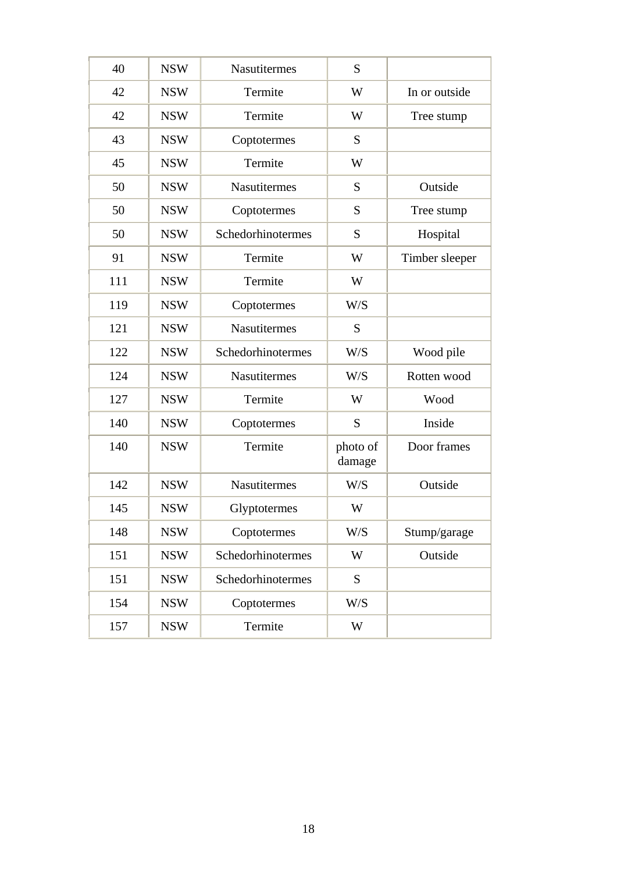| 40  | <b>NSW</b> | <b>Nasutitermes</b> | S                  |                |
|-----|------------|---------------------|--------------------|----------------|
| 42  | <b>NSW</b> | Termite             | W                  | In or outside  |
| 42  | <b>NSW</b> | Termite             | W                  | Tree stump     |
| 43  | <b>NSW</b> | Coptotermes         | S                  |                |
| 45  | <b>NSW</b> | Termite             | W                  |                |
| 50  | <b>NSW</b> | <b>Nasutitermes</b> | S                  | Outside        |
| 50  | <b>NSW</b> | Coptotermes         | S                  | Tree stump     |
| 50  | <b>NSW</b> | Schedorhinotermes   | S                  | Hospital       |
| 91  | <b>NSW</b> | Termite             | W                  | Timber sleeper |
| 111 | <b>NSW</b> | Termite             | W                  |                |
| 119 | <b>NSW</b> | Coptotermes         | W/S                |                |
| 121 | <b>NSW</b> | <b>Nasutitermes</b> | S                  |                |
| 122 | <b>NSW</b> | Schedorhinotermes   | W/S                | Wood pile      |
| 124 | <b>NSW</b> | <b>Nasutitermes</b> | W/S                | Rotten wood    |
| 127 | <b>NSW</b> | Termite             | W                  | Wood           |
| 140 | <b>NSW</b> | Coptotermes         | S                  | Inside         |
| 140 | <b>NSW</b> | Termite             | photo of<br>damage | Door frames    |
| 142 | <b>NSW</b> | <b>Nasutitermes</b> | W/S                | Outside        |
| 145 | <b>NSW</b> | Glyptotermes        | W                  |                |
| 148 | <b>NSW</b> | Coptotermes         | W/S                | Stump/garage   |
| 151 | <b>NSW</b> | Schedorhinotermes   | W                  | Outside        |
| 151 | <b>NSW</b> | Schedorhinotermes   | ${\bf S}$          |                |
| 154 | <b>NSW</b> | Coptotermes         | W/S                |                |
| 157 | <b>NSW</b> | Termite             | W                  |                |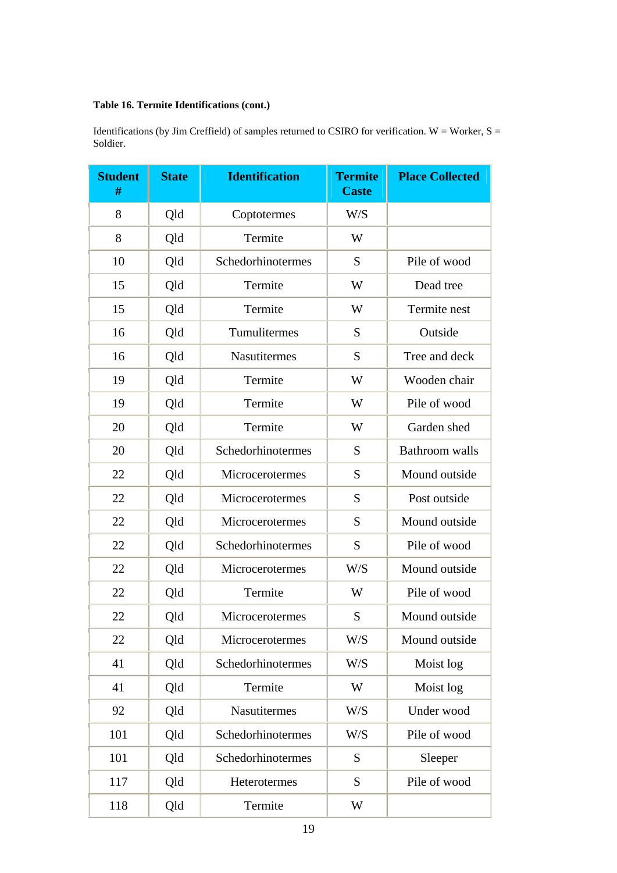# **Table 16. Termite Identifications (cont.)**

Identifications (by Jim Creffield) of samples returned to CSIRO for verification.  $W =$  Worker,  $S =$ Soldier.

| <b>Student</b><br># | <b>State</b> | <b>Identification</b> | <b>Termite</b><br><b>Caste</b> | <b>Place Collected</b> |
|---------------------|--------------|-----------------------|--------------------------------|------------------------|
| 8                   | Qld          | Coptotermes           | W/S                            |                        |
| 8                   | Qld          | Termite               | W                              |                        |
| 10                  | Qld          | Schedorhinotermes     | S                              | Pile of wood           |
| 15                  | Qld          | Termite               | W                              | Dead tree              |
| 15                  | Qld          | Termite               | W                              | Termite nest           |
| 16                  | Qld          | Tumulitermes          | S                              | Outside                |
| 16                  | Qld          | Nasutitermes          | S                              | Tree and deck          |
| 19                  | Qld          | Termite               | W                              | Wooden chair           |
| 19                  | Qld          | Termite               | W                              | Pile of wood           |
| 20                  | Qld          | Termite               | W                              | Garden shed            |
| 20                  | Qld          | Schedorhinotermes     | S                              | <b>Bathroom</b> walls  |
| 22                  | Qld          | Microcerotermes       | S                              | Mound outside          |
| 22                  | Qld          | Microcerotermes       | S                              | Post outside           |
| 22                  | Qld          | Microcerotermes       | S                              | Mound outside          |
| 22                  | Qld          | Schedorhinotermes     | S                              | Pile of wood           |
| 22                  | Qld          | Microcerotermes       | W/S                            | Mound outside          |
| 22                  | Qld          | Termite               | W                              | Pile of wood           |
| 22                  | Qld          | Microcerotermes       | S                              | Mound outside          |
| 22                  | Qld          | Microcerotermes       | W/S                            | Mound outside          |
| 41                  | Qld          | Schedorhinotermes     | W/S                            | Moist log              |
| 41                  | Qld          | Termite               | W                              | Moist log              |
| 92                  | Qld          | <b>Nasutitermes</b>   | W/S                            | Under wood             |
| 101                 | Qld          | Schedorhinotermes     | W/S                            | Pile of wood           |
| 101                 | Qld          | Schedorhinotermes     | S                              | Sleeper                |
| 117                 | Qld          | Heterotermes          | S                              | Pile of wood           |
| 118                 | Qld          | Termite               | W                              |                        |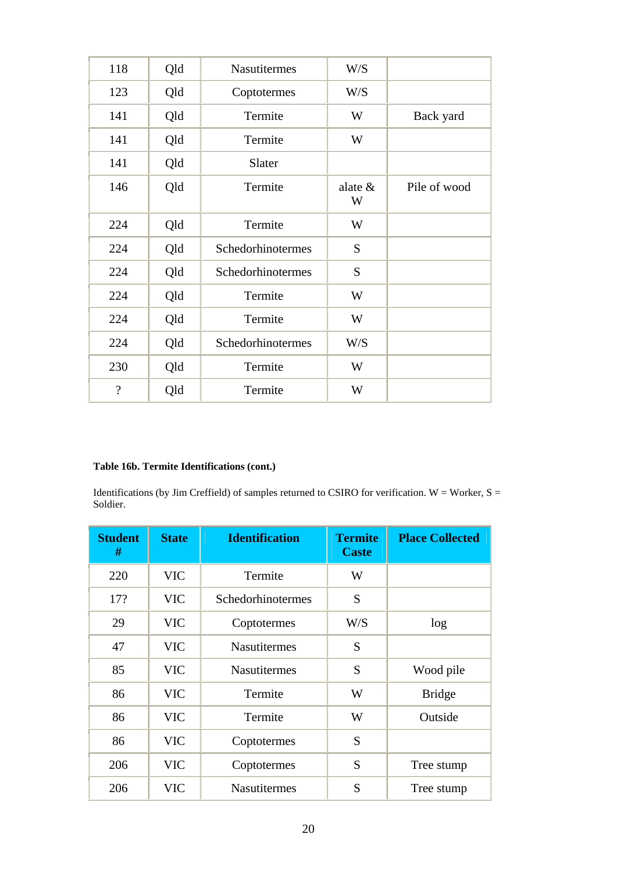| 118                      | Qld | <b>Nasutitermes</b> | W/S             |              |
|--------------------------|-----|---------------------|-----------------|--------------|
| 123                      | Qld | Coptotermes         | W/S             |              |
| 141                      | Qld | Termite             | W               | Back yard    |
| 141                      | Qld | Termite             | W               |              |
| 141                      | Qld | Slater              |                 |              |
| 146                      | Qld | Termite             | alate $\&$<br>W | Pile of wood |
| 224                      | Qld | Termite             | W               |              |
| 224                      | Qld | Schedorhinotermes   | S               |              |
| 224                      | Qld | Schedorhinotermes   | S               |              |
| 224                      | Qld | Termite             | W               |              |
| 224                      | Qld | Termite             | W               |              |
| 224                      | Qld | Schedorhinotermes   | W/S             |              |
| 230                      | Qld | Termite             | W               |              |
| $\overline{\mathcal{L}}$ | Qld | Termite             | W               |              |

# **Table 16b. Termite Identifications (cont.)**

Identifications (by Jim Creffield) of samples returned to CSIRO for verification. W = Worker,  $S =$ Soldier.

| <b>Student</b><br># | <b>State</b> | <b>Identification</b> | <b>Termite</b><br><b>Caste</b> | <b>Place Collected</b> |
|---------------------|--------------|-----------------------|--------------------------------|------------------------|
| 220                 | <b>VIC</b>   | Termite               | W                              |                        |
| 17?                 | <b>VIC</b>   | Schedorhinotermes     | S                              |                        |
| 29                  | <b>VIC</b>   | Coptotermes           | W/S                            | log                    |
| 47                  | <b>VIC</b>   | <b>Nasutitermes</b>   | S                              |                        |
| 85                  | <b>VIC</b>   | <b>Nasutitermes</b>   | S                              | Wood pile              |
| 86                  | <b>VIC</b>   | Termite               | W                              | <b>Bridge</b>          |
| 86                  | <b>VIC</b>   | Termite               | W                              | Outside                |
| 86                  | <b>VIC</b>   | Coptotermes           | S                              |                        |
| 206                 | <b>VIC</b>   | Coptotermes           | S                              | Tree stump             |
| 206                 | <b>VIC</b>   | <b>Nasutitermes</b>   | S                              | Tree stump             |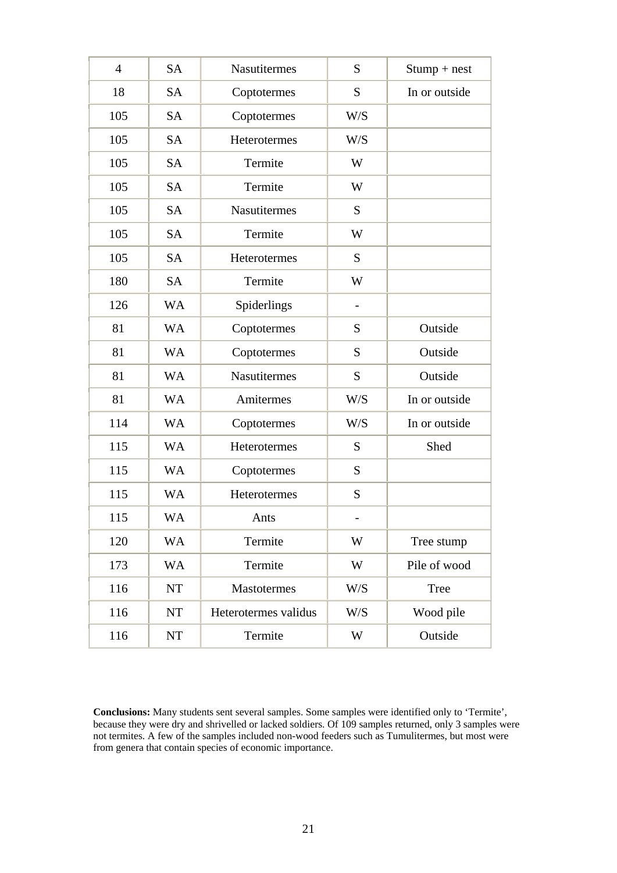| $\overline{4}$ | <b>SA</b> | <b>Nasutitermes</b>  | S                        | $Stump + nest$ |
|----------------|-----------|----------------------|--------------------------|----------------|
| 18             | <b>SA</b> | Coptotermes          | S                        | In or outside  |
| 105            | <b>SA</b> | Coptotermes          | W/S                      |                |
| 105            | <b>SA</b> | Heterotermes         | W/S                      |                |
| 105            | <b>SA</b> | Termite              | W                        |                |
| 105            | <b>SA</b> | Termite              | W                        |                |
| 105            | <b>SA</b> | Nasutitermes         | S                        |                |
| 105            | <b>SA</b> | Termite              | W                        |                |
| 105            | <b>SA</b> | Heterotermes         | S                        |                |
| 180            | <b>SA</b> | Termite              | W                        |                |
| 126            | <b>WA</b> | Spiderlings          | $\overline{\phantom{a}}$ |                |
| 81             | <b>WA</b> | Coptotermes          | S                        | Outside        |
| 81             | <b>WA</b> | Coptotermes          | S                        | Outside        |
| 81             | <b>WA</b> | <b>Nasutitermes</b>  | S                        | Outside        |
| 81             | <b>WA</b> | Amitermes            | W/S                      | In or outside  |
| 114            | <b>WA</b> | Coptotermes          | W/S                      | In or outside  |
| 115            | <b>WA</b> | Heterotermes         | S                        | Shed           |
| 115            | <b>WA</b> | Coptotermes          | S                        |                |
| 115            | <b>WA</b> | Heterotermes         | S                        |                |
| 115            | WA        | Ants                 |                          |                |
| 120            | <b>WA</b> | Termite              | W                        | Tree stump     |
| 173            | <b>WA</b> | Termite              | W                        | Pile of wood   |
| 116            | <b>NT</b> | <b>Mastotermes</b>   | W/S                      | Tree           |
| 116            | <b>NT</b> | Heterotermes validus | W/S                      | Wood pile      |
| 116            | <b>NT</b> | Termite              | W                        | Outside        |

**Conclusions:** Many students sent several samples. Some samples were identified only to 'Termite', because they were dry and shrivelled or lacked soldiers. Of 109 samples returned, only 3 samples were not termites. A few of the samples included non-wood feeders such as Tumulitermes, but most were from genera that contain species of economic importance.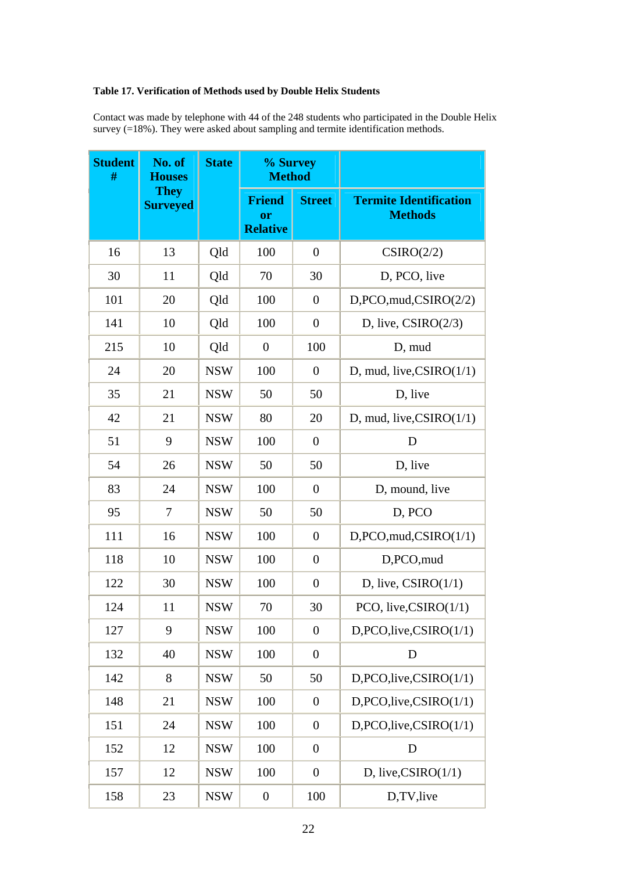# **Table 17. Verification of Methods used by Double Helix Students**

Contact was made by telephone with 44 of the 248 students who participated in the Double Helix survey (=18%). They were asked about sampling and termite identification methods.

| <b>Student</b><br># | No. of<br><b>Houses</b>        | <b>State</b> | % Survey<br><b>Method</b>              |                  |                                                 |
|---------------------|--------------------------------|--------------|----------------------------------------|------------------|-------------------------------------------------|
|                     | <b>They</b><br><b>Surveyed</b> |              | <b>Friend</b><br>or<br><b>Relative</b> | <b>Street</b>    | <b>Termite Identification</b><br><b>Methods</b> |
| 16                  | 13                             | Qld          | 100                                    | $\overline{0}$   | CSIRO(2/2)                                      |
| 30                  | 11                             | Qld          | 70                                     | 30               | D, PCO, live                                    |
| 101                 | 20                             | Qld          | 100                                    | $\boldsymbol{0}$ | D, PCO, mud, CSIRO(2/2)                         |
| 141                 | 10                             | Qld          | 100                                    | $\boldsymbol{0}$ | D, live, $CSIRO(2/3)$                           |
| 215                 | 10                             | Qld          | $\boldsymbol{0}$                       | 100              | D, mud                                          |
| 24                  | 20                             | <b>NSW</b>   | 100                                    | $\overline{0}$   | D, mud, live, $CSIRO(1/1)$                      |
| 35                  | 21                             | <b>NSW</b>   | 50                                     | 50               | D, live                                         |
| 42                  | 21                             | <b>NSW</b>   | 80                                     | 20               | D, mud, live, $CSIRO(1/1)$                      |
| 51                  | 9                              | <b>NSW</b>   | 100                                    | $\overline{0}$   | D                                               |
| 54                  | 26                             | <b>NSW</b>   | 50                                     | 50               | D, live                                         |
| 83                  | 24                             | <b>NSW</b>   | 100                                    | $\overline{0}$   | D, mound, live                                  |
| 95                  | 7                              | <b>NSW</b>   | 50                                     | 50               | D, PCO                                          |
| 111                 | 16                             | <b>NSW</b>   | 100                                    | $\overline{0}$   | D, PCO, mud, CSIRO(1/1)                         |
| 118                 | 10                             | <b>NSW</b>   | 100                                    | $\boldsymbol{0}$ | D,PCO,mud                                       |
| 122                 | 30                             | <b>NSW</b>   | 100                                    | $\boldsymbol{0}$ | D, live, $CSIRO(1/1)$                           |
| 124                 | 11                             | <b>NSW</b>   | 70                                     | 30               | PCO, live, $CSIRO(1/1)$                         |
| 127                 | 9                              | <b>NSW</b>   | 100                                    | $\overline{0}$   | D, PCO, live, CSIRO(1/1)                        |
| 132                 | 40                             | <b>NSW</b>   | 100                                    | $\boldsymbol{0}$ | D                                               |
| 142                 | 8                              | <b>NSW</b>   | 50                                     | 50               | D, PCO, live, CSIRO(1/1)                        |
| 148                 | 21                             | <b>NSW</b>   | 100                                    | $\boldsymbol{0}$ | D, PCO, live, CSIRO(1/1)                        |
| 151                 | 24                             | <b>NSW</b>   | 100                                    | $\overline{0}$   | D, PCO, live, CSIRO(1/1)                        |
| 152                 | 12                             | <b>NSW</b>   | 100                                    | $\overline{0}$   | D                                               |
| 157                 | 12                             | <b>NSW</b>   | 100                                    | $\overline{0}$   | D, live, $CSIRO(1/1)$                           |
| 158                 | 23                             | <b>NSW</b>   | $\boldsymbol{0}$                       | 100              | D,TV,live                                       |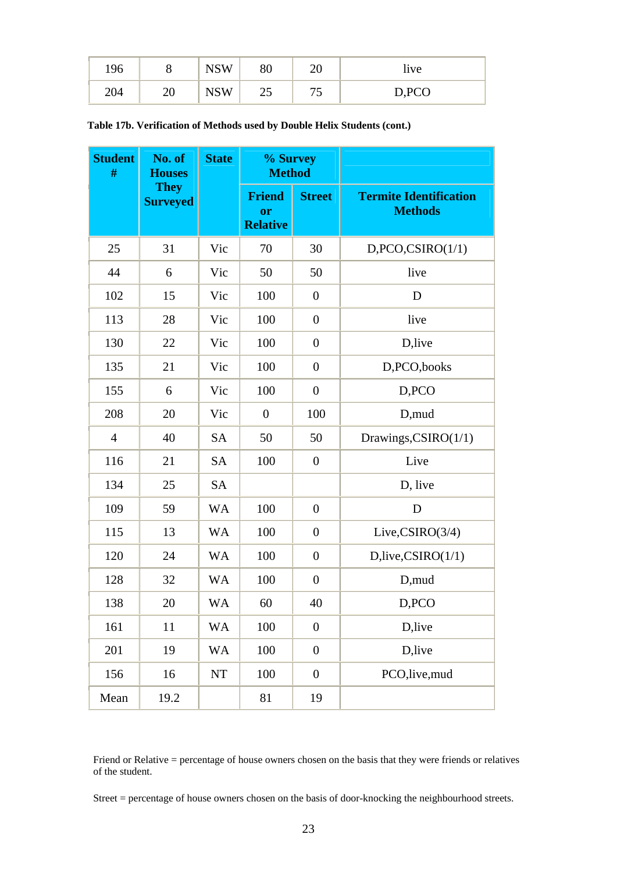| 196 |    | <b>NSW</b><br><b>IND</b> | 80 | $\cap$<br>∠∪ | 11 <sub>V</sub>                          |
|-----|----|--------------------------|----|--------------|------------------------------------------|
| 204 | ∠∪ | VSW<br>1 I N             | رے | $\sim$       | D <sub>PC</sub><br>$D, \Gamma \cup \cup$ |

**Table 17b. Verification of Methods used by Double Helix Students (cont.)** 

| <b>Student</b><br># | No. of<br><b>Houses</b>        | <b>State</b> | % Survey<br><b>Method</b>              |                  |                                                 |
|---------------------|--------------------------------|--------------|----------------------------------------|------------------|-------------------------------------------------|
|                     | <b>They</b><br><b>Surveyed</b> |              | <b>Friend</b><br>or<br><b>Relative</b> | <b>Street</b>    | <b>Termite Identification</b><br><b>Methods</b> |
| 25                  | 31                             | Vic          | 70                                     | 30               | D, PCO, CSIRO(1/1)                              |
| 44                  | 6                              | Vic          | 50                                     | 50               | live                                            |
| 102                 | 15                             | Vic          | 100                                    | $\boldsymbol{0}$ | D                                               |
| 113                 | 28                             | Vic          | 100                                    | $\boldsymbol{0}$ | live                                            |
| 130                 | 22                             | Vic          | 100                                    | $\boldsymbol{0}$ | D,live                                          |
| 135                 | 21                             | Vic          | 100                                    | $\boldsymbol{0}$ | D,PCO,books                                     |
| 155                 | 6                              | Vic          | 100                                    | $\overline{0}$   | D,PCO                                           |
| 208                 | 20                             | Vic          | $\overline{0}$                         | 100              | D,mud                                           |
| $\overline{4}$      | 40                             | <b>SA</b>    | 50                                     | 50               | Drawings, CSIRO(1/1)                            |
| 116                 | 21                             | <b>SA</b>    | 100                                    | $\boldsymbol{0}$ | Live                                            |
| 134                 | 25                             | <b>SA</b>    |                                        |                  | D, live                                         |
| 109                 | 59                             | <b>WA</b>    | 100                                    | $\boldsymbol{0}$ | D                                               |
| 115                 | 13                             | <b>WA</b>    | 100                                    | $\boldsymbol{0}$ | Live, $CSIRO(3/4)$                              |
| 120                 | 24                             | <b>WA</b>    | 100                                    | $\boldsymbol{0}$ | D, live, CSIRO(1/1)                             |
| 128                 | 32                             | <b>WA</b>    | 100                                    | $\boldsymbol{0}$ | D,mud                                           |
| 138                 | 20                             | <b>WA</b>    | 60                                     | 40               | D,PCO                                           |
| 161                 | 11                             | <b>WA</b>    | 100                                    | $\boldsymbol{0}$ | D,live                                          |
| 201                 | 19                             | <b>WA</b>    | 100                                    | $\boldsymbol{0}$ | D,live                                          |
| 156                 | 16                             | $\bf NT$     | 100                                    | $\boldsymbol{0}$ | PCO,live,mud                                    |
| Mean                | 19.2                           |              | $81\,$                                 | 19               |                                                 |

Friend or Relative = percentage of house owners chosen on the basis that they were friends or relatives of the student.

Street = percentage of house owners chosen on the basis of door-knocking the neighbourhood streets.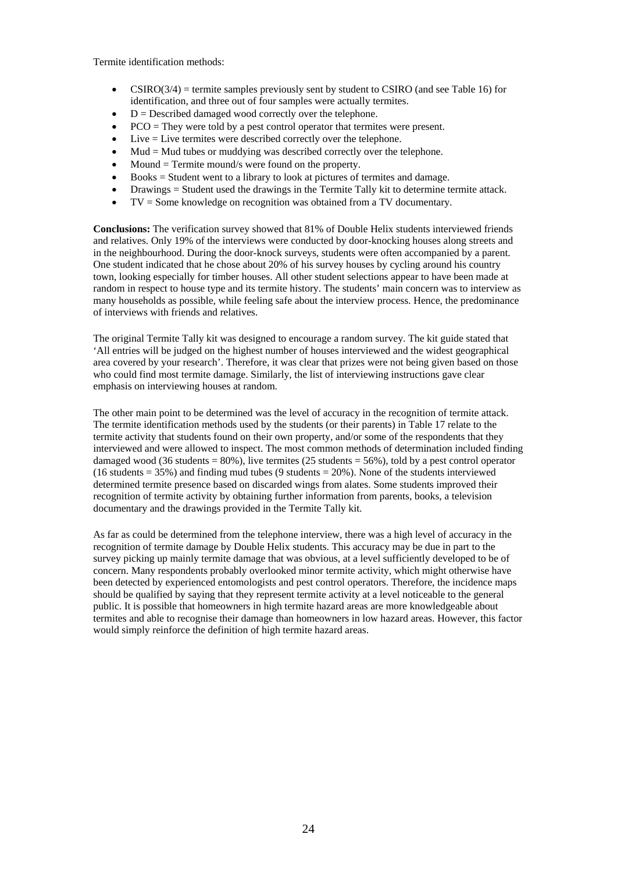Termite identification methods:

- $CSIRO(3/4)$  = termite samples previously sent by student to CSIRO (and see Table 16) for identification, and three out of four samples were actually termites.
- $D =$  Described damaged wood correctly over the telephone.
- PCO = They were told by a pest control operator that termites were present.
- Live = Live termites were described correctly over the telephone.
- $Mud = Mud$  tubes or muddying was described correctly over the telephone.
- $Mound = Termite mound/s$  were found on the property.
- Books = Student went to a library to look at pictures of termites and damage.
- Drawings = Student used the drawings in the Termite Tally kit to determine termite attack.
- $TV =$  Some knowledge on recognition was obtained from a TV documentary.

**Conclusions:** The verification survey showed that 81% of Double Helix students interviewed friends and relatives. Only 19% of the interviews were conducted by door-knocking houses along streets and in the neighbourhood. During the door-knock surveys, students were often accompanied by a parent. One student indicated that he chose about 20% of his survey houses by cycling around his country town, looking especially for timber houses. All other student selections appear to have been made at random in respect to house type and its termite history. The students' main concern was to interview as many households as possible, while feeling safe about the interview process. Hence, the predominance of interviews with friends and relatives.

The original Termite Tally kit was designed to encourage a random survey. The kit guide stated that 'All entries will be judged on the highest number of houses interviewed and the widest geographical area covered by your research'. Therefore, it was clear that prizes were not being given based on those who could find most termite damage. Similarly, the list of interviewing instructions gave clear emphasis on interviewing houses at random.

The other main point to be determined was the level of accuracy in the recognition of termite attack. The termite identification methods used by the students (or their parents) in Table 17 relate to the termite activity that students found on their own property, and/or some of the respondents that they interviewed and were allowed to inspect. The most common methods of determination included finding damaged wood (36 students =  $80\%$ ), live termites (25 students =  $56\%$ ), told by a pest control operator  $(16 \text{ students} = 35\%)$  and finding mud tubes  $(9 \text{ students} = 20\%)$ . None of the students interviewed determined termite presence based on discarded wings from alates. Some students improved their recognition of termite activity by obtaining further information from parents, books, a television documentary and the drawings provided in the Termite Tally kit.

As far as could be determined from the telephone interview, there was a high level of accuracy in the recognition of termite damage by Double Helix students. This accuracy may be due in part to the survey picking up mainly termite damage that was obvious, at a level sufficiently developed to be of concern. Many respondents probably overlooked minor termite activity, which might otherwise have been detected by experienced entomologists and pest control operators. Therefore, the incidence maps should be qualified by saying that they represent termite activity at a level noticeable to the general public. It is possible that homeowners in high termite hazard areas are more knowledgeable about termites and able to recognise their damage than homeowners in low hazard areas. However, this factor would simply reinforce the definition of high termite hazard areas.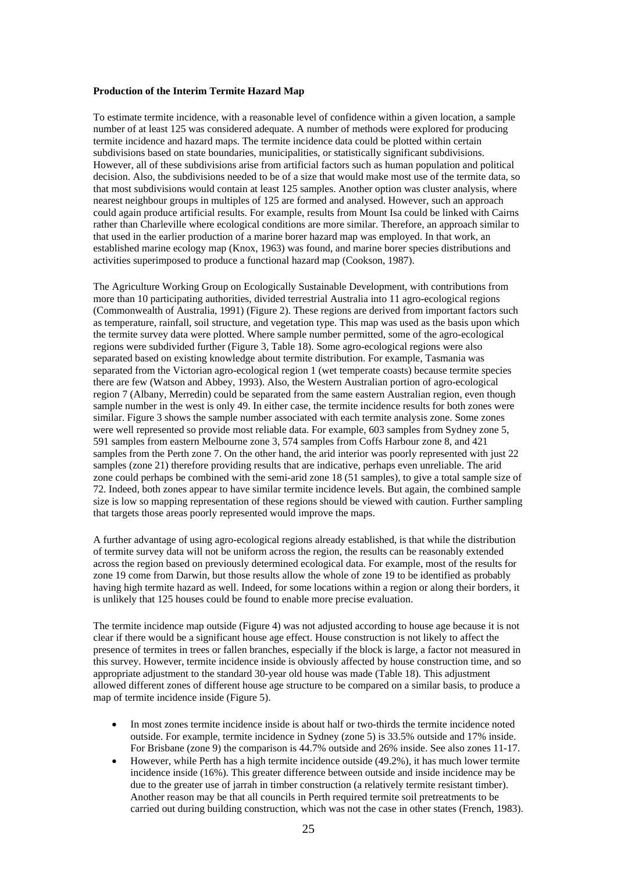#### **Production of the Interim Termite Hazard Map**

To estimate termite incidence, with a reasonable level of confidence within a given location, a sample number of at least 125 was considered adequate. A number of methods were explored for producing termite incidence and hazard maps. The termite incidence data could be plotted within certain subdivisions based on state boundaries, municipalities, or statistically significant subdivisions. However, all of these subdivisions arise from artificial factors such as human population and political decision. Also, the subdivisions needed to be of a size that would make most use of the termite data, so that most subdivisions would contain at least 125 samples. Another option was cluster analysis, where nearest neighbour groups in multiples of 125 are formed and analysed. However, such an approach could again produce artificial results. For example, results from Mount Isa could be linked with Cairns rather than Charleville where ecological conditions are more similar. Therefore, an approach similar to that used in the earlier production of a marine borer hazard map was employed. In that work, an established marine ecology map (Knox, 1963) was found, and marine borer species distributions and activities superimposed to produce a functional hazard map (Cookson, 1987).

The Agriculture Working Group on Ecologically Sustainable Development, with contributions from more than 10 participating authorities, divided terrestrial Australia into 11 agro-ecological regions (Commonwealth of Australia, 1991) (Figure 2). These regions are derived from important factors such as temperature, rainfall, soil structure, and vegetation type. This map was used as the basis upon which the termite survey data were plotted. Where sample number permitted, some of the agro-ecological regions were subdivided further (Figure 3, Table 18). Some agro-ecological regions were also separated based on existing knowledge about termite distribution. For example, Tasmania was separated from the Victorian agro-ecological region 1 (wet temperate coasts) because termite species there are few (Watson and Abbey, 1993). Also, the Western Australian portion of agro-ecological region 7 (Albany, Merredin) could be separated from the same eastern Australian region, even though sample number in the west is only 49. In either case, the termite incidence results for both zones were similar. Figure 3 shows the sample number associated with each termite analysis zone. Some zones were well represented so provide most reliable data. For example, 603 samples from Sydney zone 5, 591 samples from eastern Melbourne zone 3, 574 samples from Coffs Harbour zone 8, and 421 samples from the Perth zone 7. On the other hand, the arid interior was poorly represented with just 22 samples (zone 21) therefore providing results that are indicative, perhaps even unreliable. The arid zone could perhaps be combined with the semi-arid zone 18 (51 samples), to give a total sample size of 72. Indeed, both zones appear to have similar termite incidence levels. But again, the combined sample size is low so mapping representation of these regions should be viewed with caution. Further sampling that targets those areas poorly represented would improve the maps.

A further advantage of using agro-ecological regions already established, is that while the distribution of termite survey data will not be uniform across the region, the results can be reasonably extended across the region based on previously determined ecological data. For example, most of the results for zone 19 come from Darwin, but those results allow the whole of zone 19 to be identified as probably having high termite hazard as well. Indeed, for some locations within a region or along their borders, it is unlikely that 125 houses could be found to enable more precise evaluation.

The termite incidence map outside (Figure 4) was not adjusted according to house age because it is not clear if there would be a significant house age effect. House construction is not likely to affect the presence of termites in trees or fallen branches, especially if the block is large, a factor not measured in this survey. However, termite incidence inside is obviously affected by house construction time, and so appropriate adjustment to the standard 30-year old house was made (Table 18). This adjustment allowed different zones of different house age structure to be compared on a similar basis, to produce a map of termite incidence inside (Figure 5).

- In most zones termite incidence inside is about half or two-thirds the termite incidence noted outside. For example, termite incidence in Sydney (zone 5) is 33.5% outside and 17% inside. For Brisbane (zone 9) the comparison is 44.7% outside and 26% inside. See also zones 11-17.
- However, while Perth has a high termite incidence outside (49.2%), it has much lower termite incidence inside (16%). This greater difference between outside and inside incidence may be due to the greater use of jarrah in timber construction (a relatively termite resistant timber). Another reason may be that all councils in Perth required termite soil pretreatments to be carried out during building construction, which was not the case in other states (French, 1983).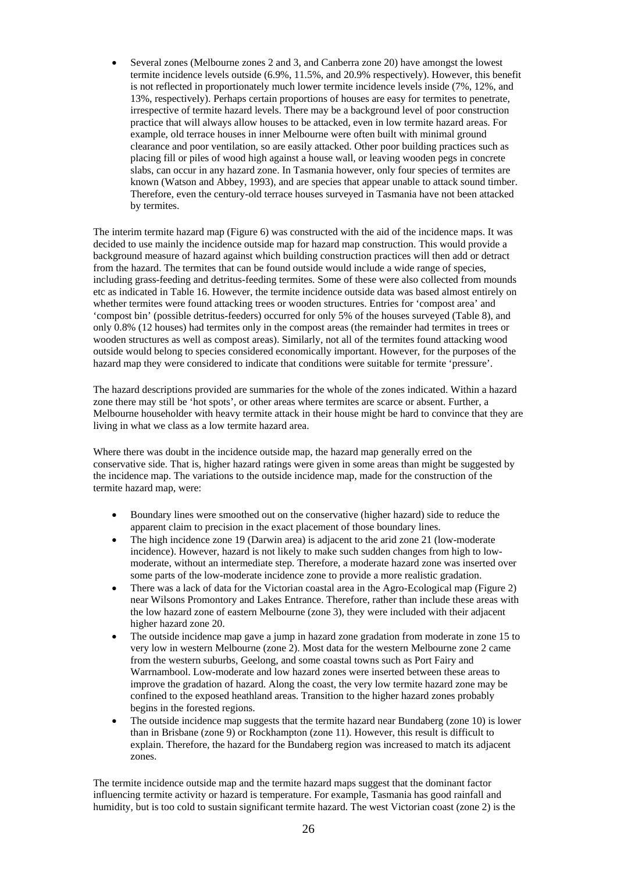• Several zones (Melbourne zones 2 and 3, and Canberra zone 20) have amongst the lowest termite incidence levels outside (6.9%, 11.5%, and 20.9% respectively). However, this benefit is not reflected in proportionately much lower termite incidence levels inside (7%, 12%, and 13%, respectively). Perhaps certain proportions of houses are easy for termites to penetrate, irrespective of termite hazard levels. There may be a background level of poor construction practice that will always allow houses to be attacked, even in low termite hazard areas. For example, old terrace houses in inner Melbourne were often built with minimal ground clearance and poor ventilation, so are easily attacked. Other poor building practices such as placing fill or piles of wood high against a house wall, or leaving wooden pegs in concrete slabs, can occur in any hazard zone. In Tasmania however, only four species of termites are known (Watson and Abbey, 1993), and are species that appear unable to attack sound timber. Therefore, even the century-old terrace houses surveyed in Tasmania have not been attacked by termites.

The interim termite hazard map (Figure 6) was constructed with the aid of the incidence maps. It was decided to use mainly the incidence outside map for hazard map construction. This would provide a background measure of hazard against which building construction practices will then add or detract from the hazard. The termites that can be found outside would include a wide range of species, including grass-feeding and detritus-feeding termites. Some of these were also collected from mounds etc as indicated in Table 16. However, the termite incidence outside data was based almost entirely on whether termites were found attacking trees or wooden structures. Entries for 'compost area' and 'compost bin' (possible detritus-feeders) occurred for only 5% of the houses surveyed (Table 8), and only 0.8% (12 houses) had termites only in the compost areas (the remainder had termites in trees or wooden structures as well as compost areas). Similarly, not all of the termites found attacking wood outside would belong to species considered economically important. However, for the purposes of the hazard map they were considered to indicate that conditions were suitable for termite 'pressure'.

The hazard descriptions provided are summaries for the whole of the zones indicated. Within a hazard zone there may still be 'hot spots', or other areas where termites are scarce or absent. Further, a Melbourne householder with heavy termite attack in their house might be hard to convince that they are living in what we class as a low termite hazard area.

Where there was doubt in the incidence outside map, the hazard map generally erred on the conservative side. That is, higher hazard ratings were given in some areas than might be suggested by the incidence map. The variations to the outside incidence map, made for the construction of the termite hazard map, were:

- Boundary lines were smoothed out on the conservative (higher hazard) side to reduce the apparent claim to precision in the exact placement of those boundary lines.
- The high incidence zone 19 (Darwin area) is adjacent to the arid zone 21 (low-moderate incidence). However, hazard is not likely to make such sudden changes from high to lowmoderate, without an intermediate step. Therefore, a moderate hazard zone was inserted over some parts of the low-moderate incidence zone to provide a more realistic gradation.
- There was a lack of data for the Victorian coastal area in the Agro-Ecological map (Figure 2) near Wilsons Promontory and Lakes Entrance. Therefore, rather than include these areas with the low hazard zone of eastern Melbourne (zone 3), they were included with their adjacent higher hazard zone 20.
- The outside incidence map gave a jump in hazard zone gradation from moderate in zone 15 to very low in western Melbourne (zone 2). Most data for the western Melbourne zone 2 came from the western suburbs, Geelong, and some coastal towns such as Port Fairy and Warrnambool. Low-moderate and low hazard zones were inserted between these areas to improve the gradation of hazard. Along the coast, the very low termite hazard zone may be confined to the exposed heathland areas. Transition to the higher hazard zones probably begins in the forested regions.
- The outside incidence map suggests that the termite hazard near Bundaberg (zone 10) is lower than in Brisbane (zone 9) or Rockhampton (zone 11). However, this result is difficult to explain. Therefore, the hazard for the Bundaberg region was increased to match its adjacent zones.

The termite incidence outside map and the termite hazard maps suggest that the dominant factor influencing termite activity or hazard is temperature. For example, Tasmania has good rainfall and humidity, but is too cold to sustain significant termite hazard. The west Victorian coast (zone 2) is the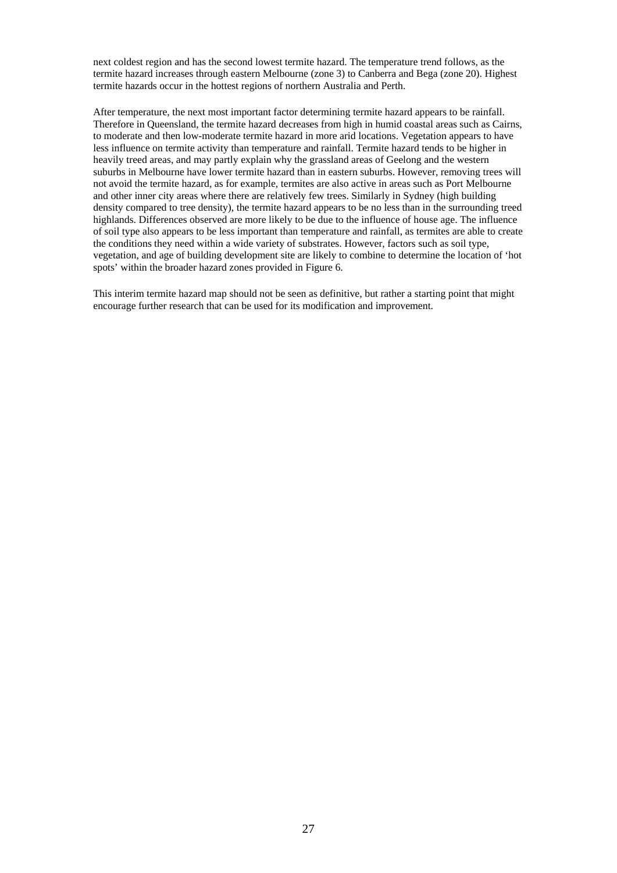next coldest region and has the second lowest termite hazard. The temperature trend follows, as the termite hazard increases through eastern Melbourne (zone 3) to Canberra and Bega (zone 20). Highest termite hazards occur in the hottest regions of northern Australia and Perth.

After temperature, the next most important factor determining termite hazard appears to be rainfall. Therefore in Queensland, the termite hazard decreases from high in humid coastal areas such as Cairns, to moderate and then low-moderate termite hazard in more arid locations. Vegetation appears to have less influence on termite activity than temperature and rainfall. Termite hazard tends to be higher in heavily treed areas, and may partly explain why the grassland areas of Geelong and the western suburbs in Melbourne have lower termite hazard than in eastern suburbs. However, removing trees will not avoid the termite hazard, as for example, termites are also active in areas such as Port Melbourne and other inner city areas where there are relatively few trees. Similarly in Sydney (high building density compared to tree density), the termite hazard appears to be no less than in the surrounding treed highlands. Differences observed are more likely to be due to the influence of house age. The influence of soil type also appears to be less important than temperature and rainfall, as termites are able to create the conditions they need within a wide variety of substrates. However, factors such as soil type, vegetation, and age of building development site are likely to combine to determine the location of 'hot spots' within the broader hazard zones provided in Figure 6.

This interim termite hazard map should not be seen as definitive, but rather a starting point that might encourage further research that can be used for its modification and improvement.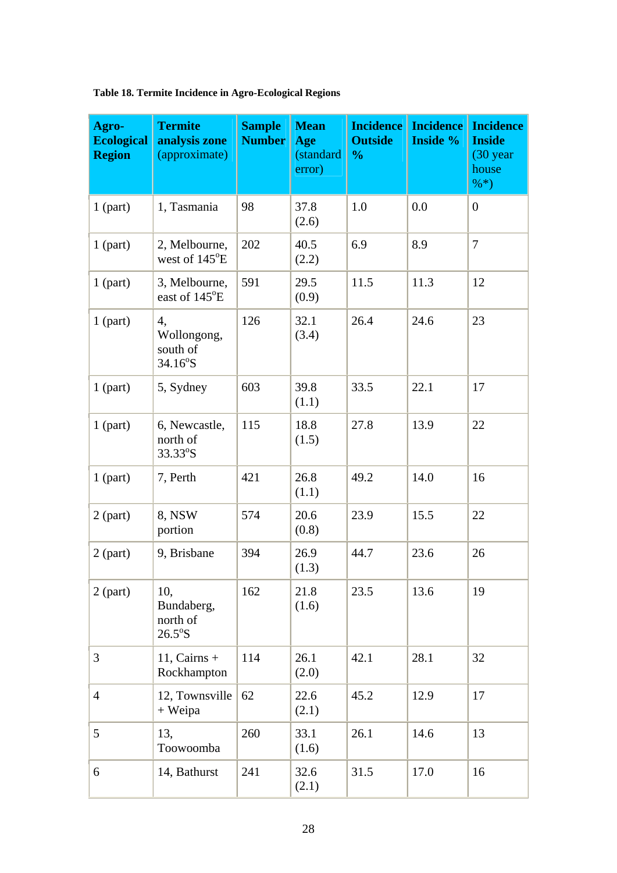| Agro-<br><b>Ecological</b><br><b>Region</b> | <b>Termite</b><br>analysis zone<br>(approximate)  | <b>Sample</b><br><b>Number</b> | <b>Mean</b><br>Age<br>(standard<br>error) | <b>Incidence</b><br><b>Outside</b><br>$\frac{0}{0}$ | <b>Incidence</b><br><b>Inside %</b> | <b>Incidence</b><br><b>Inside</b><br>$(30 \text{ year})$<br>house<br>$\% *$ |
|---------------------------------------------|---------------------------------------------------|--------------------------------|-------------------------------------------|-----------------------------------------------------|-------------------------------------|-----------------------------------------------------------------------------|
| $1$ (part)                                  | 1, Tasmania                                       | 98                             | 37.8<br>(2.6)                             | 1.0                                                 | 0.0                                 | $\boldsymbol{0}$                                                            |
| $1$ (part)                                  | 2, Melbourne,<br>west of 145°E                    | 202                            | 40.5<br>(2.2)                             | 6.9                                                 | 8.9                                 | $\overline{7}$                                                              |
| $1$ (part)                                  | 3, Melbourne,<br>east of 145°E                    | 591                            | 29.5<br>(0.9)                             | 11.5                                                | 11.3                                | 12                                                                          |
| $1$ (part)                                  | 4,<br>Wollongong,<br>south of<br>$34.16^{\circ}S$ | 126                            | 32.1<br>(3.4)                             | 26.4                                                | 24.6                                | 23                                                                          |
| $1$ (part)                                  | 5, Sydney                                         | 603                            | 39.8<br>(1.1)                             | 33.5                                                | 22.1                                | 17                                                                          |
| $1$ (part)                                  | 6, Newcastle,<br>north of<br>33.33°S              | 115                            | 18.8<br>(1.5)                             | 27.8                                                | 13.9                                | 22                                                                          |
| $1$ (part)                                  | 7, Perth                                          | 421                            | 26.8<br>(1.1)                             | 49.2                                                | 14.0                                | 16                                                                          |
| $2$ (part)                                  | 8, NSW<br>portion                                 | 574                            | 20.6<br>(0.8)                             | 23.9                                                | 15.5                                | 22                                                                          |
| $2$ (part)                                  | 9, Brisbane                                       | 394                            | 26.9<br>(1.3)                             | 44.7                                                | 23.6                                | 26                                                                          |
| $2$ (part)                                  | 10,<br>Bundaberg,<br>north of<br>$26.5^{\circ}$ S | 162                            | 21.8<br>(1.6)                             | 23.5                                                | 13.6                                | 19                                                                          |
| 3                                           | 11, Cairns $+$<br>Rockhampton                     | 114                            | 26.1<br>(2.0)                             | 42.1                                                | 28.1                                | 32                                                                          |
| $\overline{4}$                              | 12, Townsville<br>+ Weipa                         | 62                             | 22.6<br>(2.1)                             | 45.2                                                | 12.9                                | 17                                                                          |
| 5                                           | 13,<br>Toowoomba                                  | 260                            | 33.1<br>(1.6)                             | 26.1                                                | 14.6                                | 13                                                                          |
| 6                                           | 14, Bathurst                                      | 241                            | 32.6<br>(2.1)                             | 31.5                                                | 17.0                                | 16                                                                          |

**Table 18. Termite Incidence in Agro-Ecological Regions**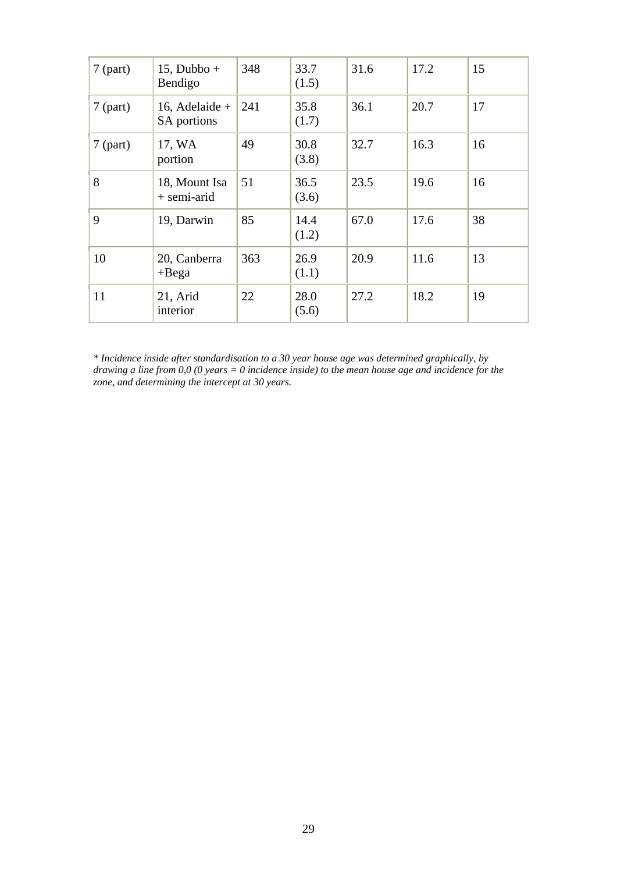| $7$ (part) | $15$ , Dubbo +<br>Bendigo     | 348 | 33.7<br>(1.5) | 31.6 | 17.2 | 15 |
|------------|-------------------------------|-----|---------------|------|------|----|
| $7$ (part) | 16, Adelaide +<br>SA portions | 241 | 35.8<br>(1.7) | 36.1 | 20.7 | 17 |
| $7$ (part) | 17, WA<br>portion             | 49  | 30.8<br>(3.8) | 32.7 | 16.3 | 16 |
| 8          | 18, Mount Isa<br>+ semi-arid  | 51  | 36.5<br>(3.6) | 23.5 | 19.6 | 16 |
| 9          | 19, Darwin                    | 85  | 14.4<br>(1.2) | 67.0 | 17.6 | 38 |
| 10         | 20, Canberra<br>$+$ Bega      | 363 | 26.9<br>(1.1) | 20.9 | 11.6 | 13 |
| 11         | 21, Arid<br>interior          | 22  | 28.0<br>(5.6) | 27.2 | 18.2 | 19 |

*\* Incidence inside after standardisation to a 30 year house age was determined graphically, by drawing a line from 0,0 (0 years = 0 incidence inside) to the mean house age and incidence for the zone, and determining the intercept at 30 years.*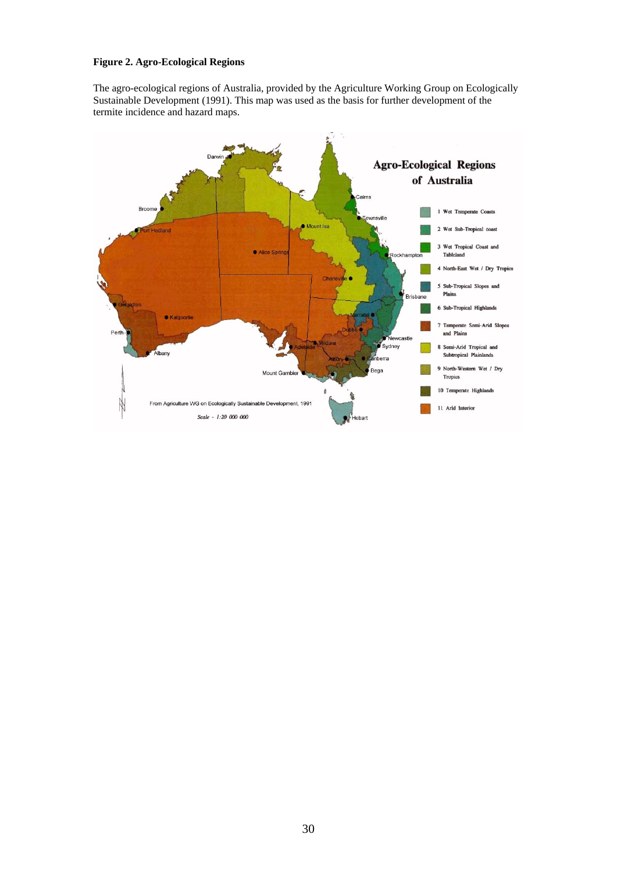## **Figure 2. Agro-Ecological Regions**

The agro-ecological regions of Australia, provided by the Agriculture Working Group on Ecologically Sustainable Development (1991). This map was used as the basis for further development of the termite incidence and hazard maps.

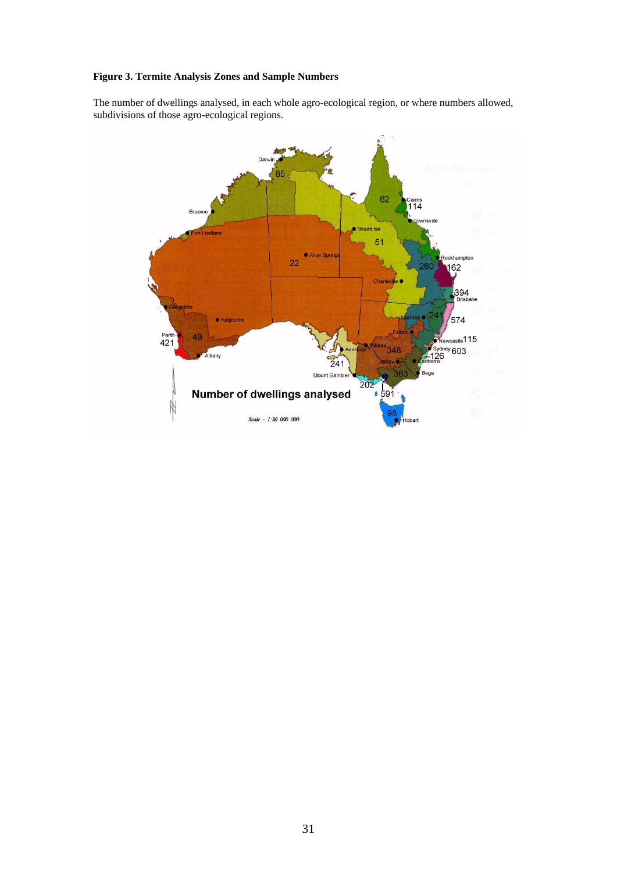## **Figure 3. Termite Analysis Zones and Sample Numbers**

The number of dwellings analysed, in each whole agro-ecological region, or where numbers allowed, subdivisions of those agro-ecological regions.

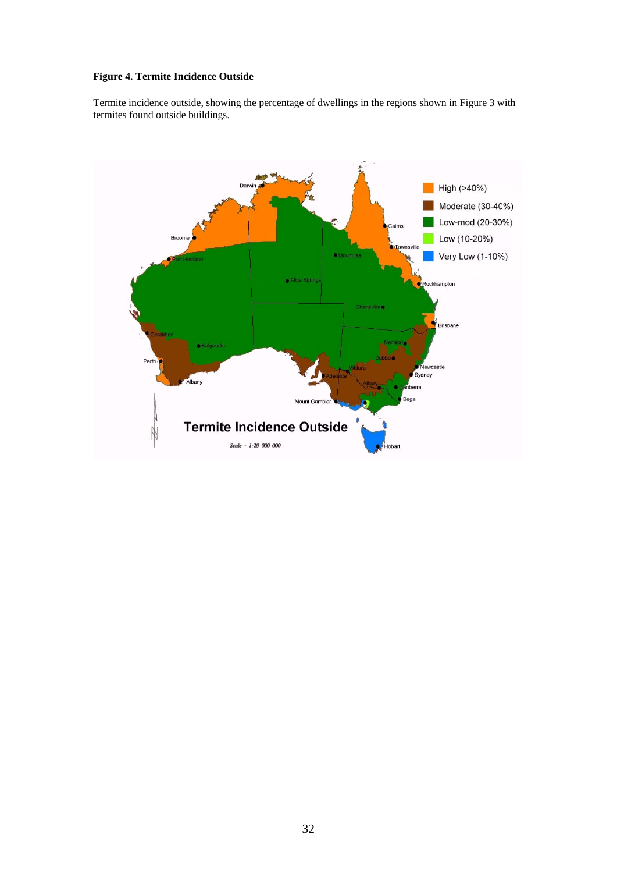## **Figure 4. Termite Incidence Outside**

Termite incidence outside, showing the percentage of dwellings in the regions shown in Figure 3 with termites found outside buildings.

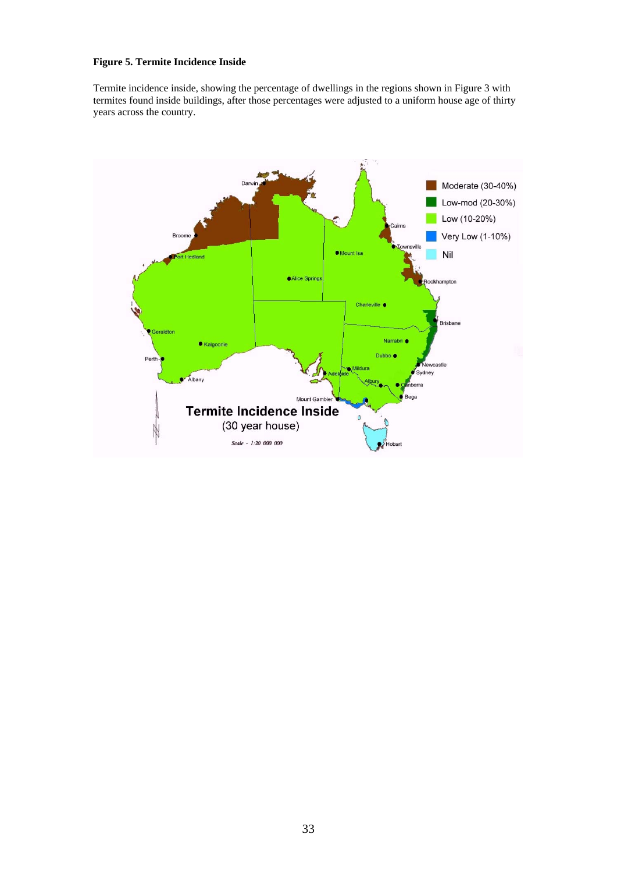## **Figure 5. Termite Incidence Inside**

Termite incidence inside, showing the percentage of dwellings in the regions shown in Figure 3 with termites found inside buildings, after those percentages were adjusted to a uniform house age of thirty years across the country.

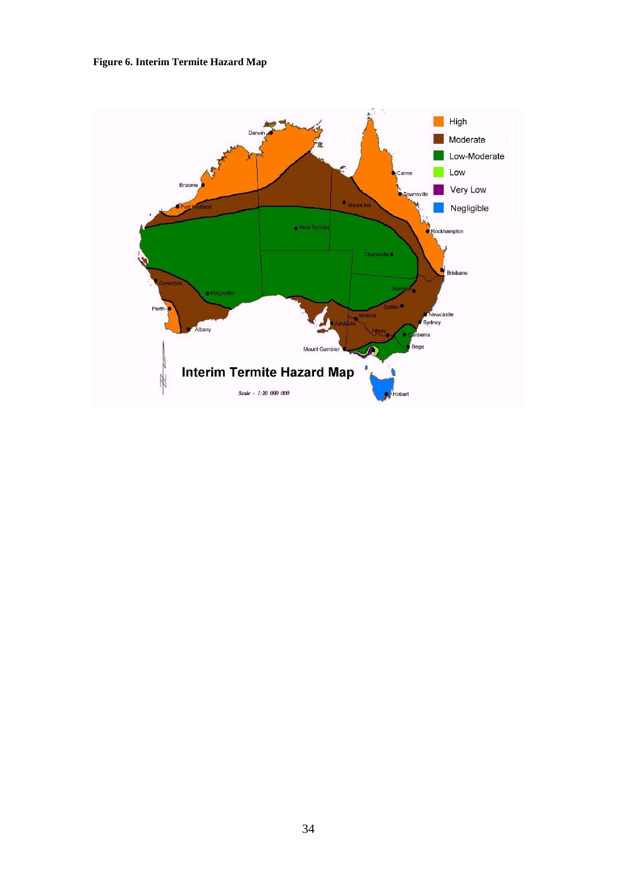